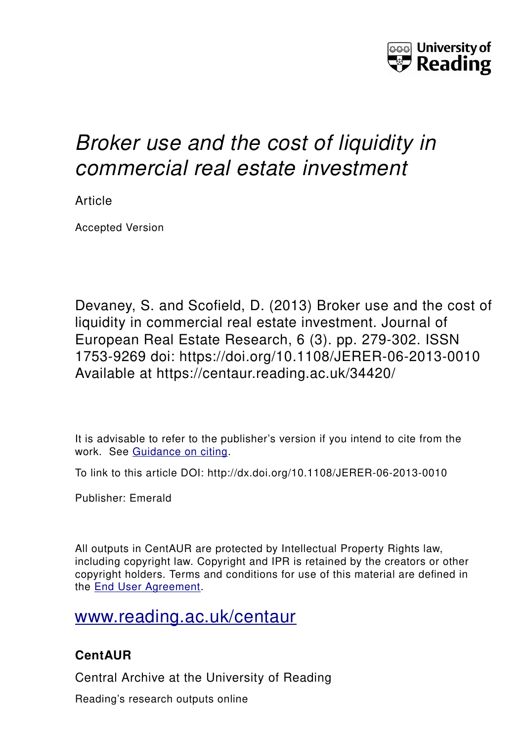

# *Broker use and the cost of liquidity in commercial real estate investment*

Article

Accepted Version

Devaney, S. and Scofield, D. (2013) Broker use and the cost of liquidity in commercial real estate investment. Journal of European Real Estate Research, 6 (3). pp. 279-302. ISSN 1753-9269 doi: https://doi.org/10.1108/JERER-06-2013-0010 Available at https://centaur.reading.ac.uk/34420/

It is advisable to refer to the publisher's version if you intend to cite from the work. See [Guidance on citing.](http://centaur.reading.ac.uk/71187/10/CentAUR%20citing%20guide.pdf)

To link to this article DOI: http://dx.doi.org/10.1108/JERER-06-2013-0010

Publisher: Emerald

All outputs in CentAUR are protected by Intellectual Property Rights law, including copyright law. Copyright and IPR is retained by the creators or other copyright holders. Terms and conditions for use of this material are defined in the [End User Agreement.](http://centaur.reading.ac.uk/licence)

# [www.reading.ac.uk/centaur](http://www.reading.ac.uk/centaur)

## **CentAUR**

Central Archive at the University of Reading

Reading's research outputs online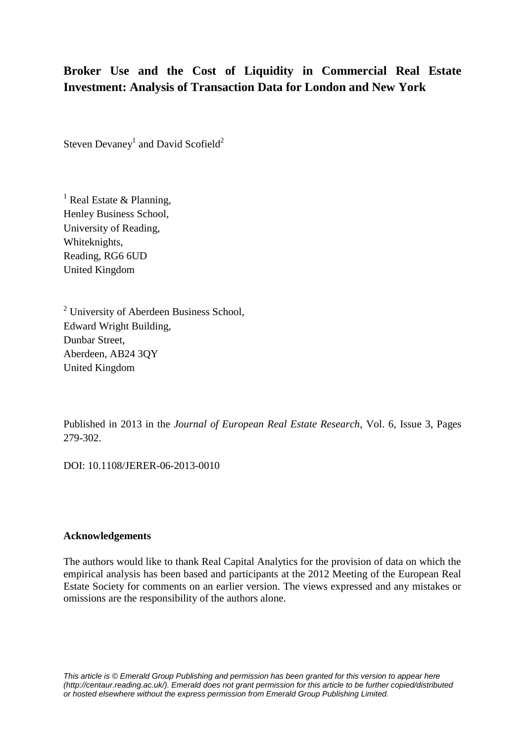### **Broker Use and the Cost of Liquidity in Commercial Real Estate Investment: Analysis of Transaction Data for London and New York**

Steven Devaney<sup>1</sup> and David Scofield<sup>2</sup>

<sup>1</sup> Real Estate  $&$  Planning, Henley Business School, University of Reading, Whiteknights, Reading, RG6 6UD United Kingdom

<sup>2</sup> University of Aberdeen Business School, Edward Wright Building, Dunbar Street, Aberdeen, AB24 3QY United Kingdom

Published in 2013 in the *Journal of European Real Estate Research*, Vol. 6, Issue 3, Pages 279-302.

DOI: 10.1108/JERER-06-2013-0010

#### **Acknowledgements**

The authors would like to thank Real Capital Analytics for the provision of data on which the empirical analysis has been based and participants at the 2012 Meeting of the European Real Estate Society for comments on an earlier version. The views expressed and any mistakes or omissions are the responsibility of the authors alone.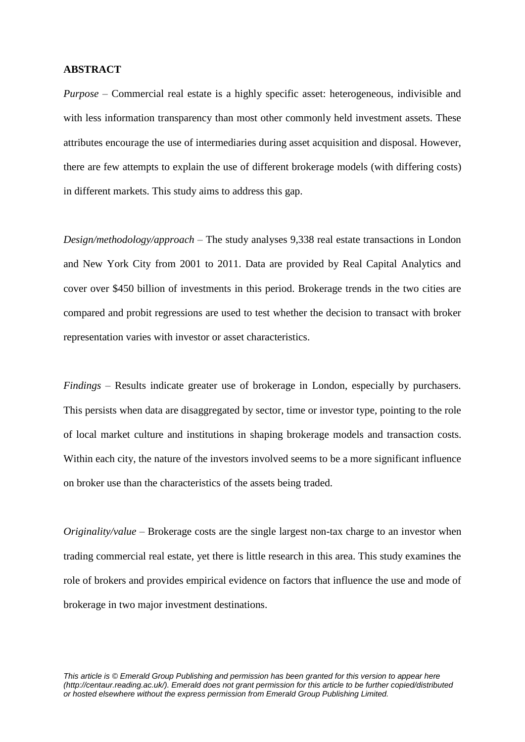#### **ABSTRACT**

*Purpose* – Commercial real estate is a highly specific asset: heterogeneous, indivisible and with less information transparency than most other commonly held investment assets. These attributes encourage the use of intermediaries during asset acquisition and disposal. However, there are few attempts to explain the use of different brokerage models (with differing costs) in different markets. This study aims to address this gap.

*Design/methodology/approach* – The study analyses 9,338 real estate transactions in London and New York City from 2001 to 2011. Data are provided by Real Capital Analytics and cover over \$450 billion of investments in this period. Brokerage trends in the two cities are compared and probit regressions are used to test whether the decision to transact with broker representation varies with investor or asset characteristics.

*Findings* – Results indicate greater use of brokerage in London, especially by purchasers. This persists when data are disaggregated by sector, time or investor type, pointing to the role of local market culture and institutions in shaping brokerage models and transaction costs. Within each city, the nature of the investors involved seems to be a more significant influence on broker use than the characteristics of the assets being traded.

*Originality/value* – Brokerage costs are the single largest non-tax charge to an investor when trading commercial real estate, yet there is little research in this area. This study examines the role of brokers and provides empirical evidence on factors that influence the use and mode of brokerage in two major investment destinations.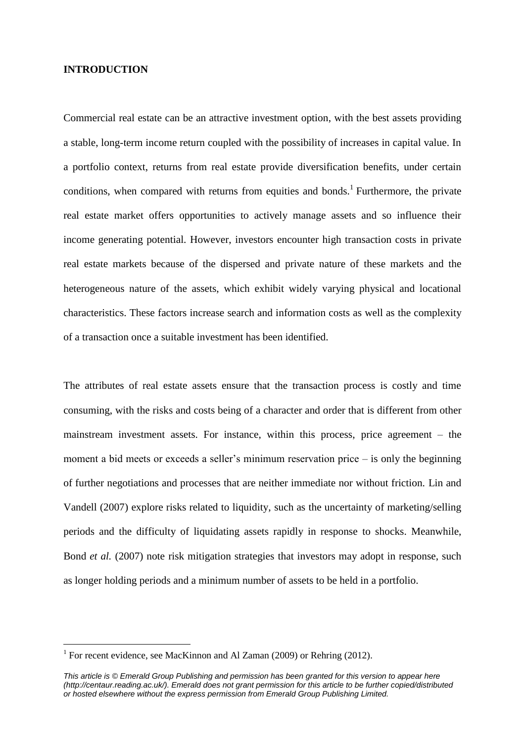#### **INTRODUCTION**

1

Commercial real estate can be an attractive investment option, with the best assets providing a stable, long-term income return coupled with the possibility of increases in capital value. In a portfolio context, returns from real estate provide diversification benefits, under certain conditions, when compared with returns from equities and bonds.<sup>1</sup> Furthermore, the private real estate market offers opportunities to actively manage assets and so influence their income generating potential. However, investors encounter high transaction costs in private real estate markets because of the dispersed and private nature of these markets and the heterogeneous nature of the assets, which exhibit widely varying physical and locational characteristics. These factors increase search and information costs as well as the complexity of a transaction once a suitable investment has been identified.

The attributes of real estate assets ensure that the transaction process is costly and time consuming, with the risks and costs being of a character and order that is different from other mainstream investment assets. For instance, within this process, price agreement – the moment a bid meets or exceeds a seller's minimum reservation price – is only the beginning of further negotiations and processes that are neither immediate nor without friction. Lin and Vandell (2007) explore risks related to liquidity, such as the uncertainty of marketing/selling periods and the difficulty of liquidating assets rapidly in response to shocks. Meanwhile, Bond *et al.* (2007) note risk mitigation strategies that investors may adopt in response, such as longer holding periods and a minimum number of assets to be held in a portfolio.

<sup>&</sup>lt;sup>1</sup> For recent evidence, see MacKinnon and Al Zaman (2009) or Rehring (2012).

*This article is © Emerald Group Publishing and permission has been granted for this version to appear here (http://centaur.reading.ac.uk/). Emerald does not grant permission for this article to be further copied/distributed or hosted elsewhere without the express permission from Emerald Group Publishing Limited.*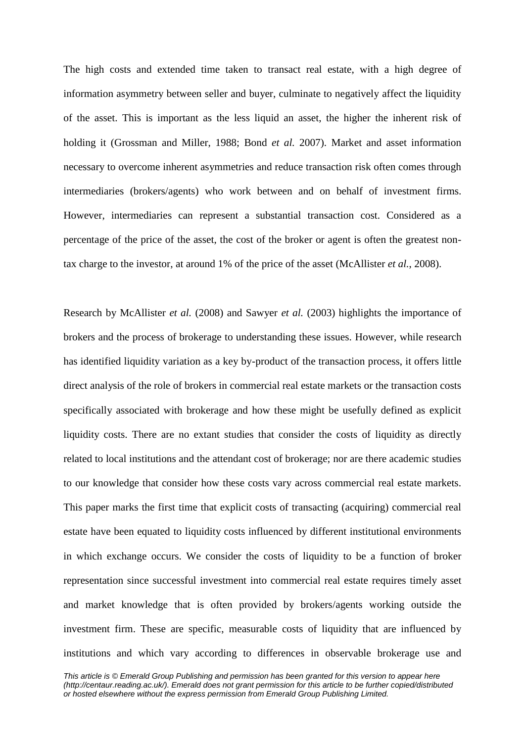The high costs and extended time taken to transact real estate, with a high degree of information asymmetry between seller and buyer, culminate to negatively affect the liquidity of the asset. This is important as the less liquid an asset, the higher the inherent risk of holding it (Grossman and Miller, 1988; Bond *et al.* 2007). Market and asset information necessary to overcome inherent asymmetries and reduce transaction risk often comes through intermediaries (brokers/agents) who work between and on behalf of investment firms. However, intermediaries can represent a substantial transaction cost. Considered as a percentage of the price of the asset, the cost of the broker or agent is often the greatest nontax charge to the investor, at around 1% of the price of the asset (McAllister *et al.*, 2008).

Research by McAllister *et al.* (2008) and Sawyer *et al.* (2003) highlights the importance of brokers and the process of brokerage to understanding these issues. However, while research has identified liquidity variation as a key by-product of the transaction process, it offers little direct analysis of the role of brokers in commercial real estate markets or the transaction costs specifically associated with brokerage and how these might be usefully defined as explicit liquidity costs. There are no extant studies that consider the costs of liquidity as directly related to local institutions and the attendant cost of brokerage; nor are there academic studies to our knowledge that consider how these costs vary across commercial real estate markets. This paper marks the first time that explicit costs of transacting (acquiring) commercial real estate have been equated to liquidity costs influenced by different institutional environments in which exchange occurs. We consider the costs of liquidity to be a function of broker representation since successful investment into commercial real estate requires timely asset and market knowledge that is often provided by brokers/agents working outside the investment firm. These are specific, measurable costs of liquidity that are influenced by institutions and which vary according to differences in observable brokerage use and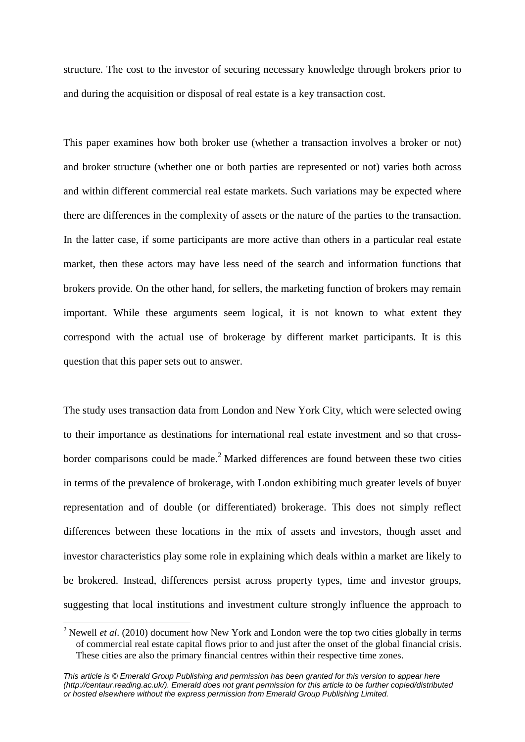structure. The cost to the investor of securing necessary knowledge through brokers prior to and during the acquisition or disposal of real estate is a key transaction cost.

This paper examines how both broker use (whether a transaction involves a broker or not) and broker structure (whether one or both parties are represented or not) varies both across and within different commercial real estate markets. Such variations may be expected where there are differences in the complexity of assets or the nature of the parties to the transaction. In the latter case, if some participants are more active than others in a particular real estate market, then these actors may have less need of the search and information functions that brokers provide. On the other hand, for sellers, the marketing function of brokers may remain important. While these arguments seem logical, it is not known to what extent they correspond with the actual use of brokerage by different market participants. It is this question that this paper sets out to answer.

The study uses transaction data from London and New York City, which were selected owing to their importance as destinations for international real estate investment and so that crossborder comparisons could be made.<sup>2</sup> Marked differences are found between these two cities in terms of the prevalence of brokerage, with London exhibiting much greater levels of buyer representation and of double (or differentiated) brokerage. This does not simply reflect differences between these locations in the mix of assets and investors, though asset and investor characteristics play some role in explaining which deals within a market are likely to be brokered. Instead, differences persist across property types, time and investor groups, suggesting that local institutions and investment culture strongly influence the approach to

<sup>&</sup>lt;sup>2</sup> Newell *et al.* (2010) document how New York and London were the top two cities globally in terms of commercial real estate capital flows prior to and just after the onset of the global financial crisis. These cities are also the primary financial centres within their respective time zones.

*This article is © Emerald Group Publishing and permission has been granted for this version to appear here (http://centaur.reading.ac.uk/). Emerald does not grant permission for this article to be further copied/distributed or hosted elsewhere without the express permission from Emerald Group Publishing Limited.*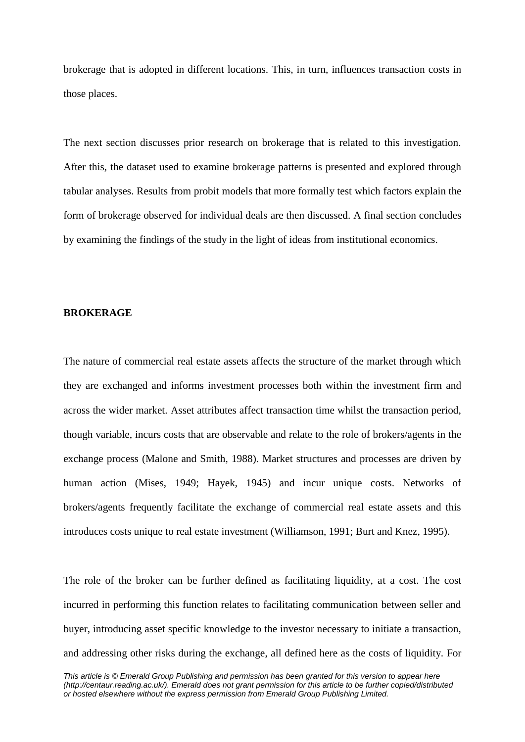brokerage that is adopted in different locations. This, in turn, influences transaction costs in those places.

The next section discusses prior research on brokerage that is related to this investigation. After this, the dataset used to examine brokerage patterns is presented and explored through tabular analyses. Results from probit models that more formally test which factors explain the form of brokerage observed for individual deals are then discussed. A final section concludes by examining the findings of the study in the light of ideas from institutional economics.

#### **BROKERAGE**

The nature of commercial real estate assets affects the structure of the market through which they are exchanged and informs investment processes both within the investment firm and across the wider market. Asset attributes affect transaction time whilst the transaction period, though variable, incurs costs that are observable and relate to the role of brokers/agents in the exchange process (Malone and Smith, 1988). Market structures and processes are driven by human action (Mises, 1949; Hayek, 1945) and incur unique costs. Networks of brokers/agents frequently facilitate the exchange of commercial real estate assets and this introduces costs unique to real estate investment (Williamson, 1991; Burt and Knez, 1995).

The role of the broker can be further defined as facilitating liquidity, at a cost. The cost incurred in performing this function relates to facilitating communication between seller and buyer, introducing asset specific knowledge to the investor necessary to initiate a transaction, and addressing other risks during the exchange, all defined here as the costs of liquidity. For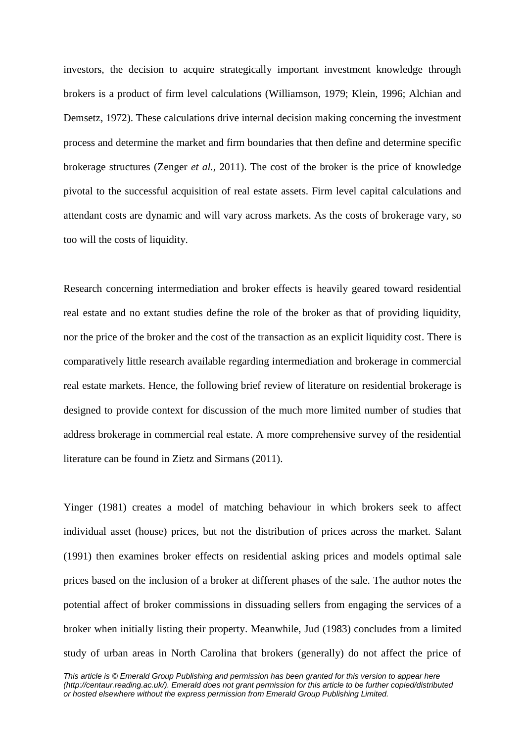investors, the decision to acquire strategically important investment knowledge through brokers is a product of firm level calculations (Williamson, 1979; Klein, 1996; Alchian and Demsetz, 1972). These calculations drive internal decision making concerning the investment process and determine the market and firm boundaries that then define and determine specific brokerage structures (Zenger *et al.*, 2011). The cost of the broker is the price of knowledge pivotal to the successful acquisition of real estate assets. Firm level capital calculations and attendant costs are dynamic and will vary across markets. As the costs of brokerage vary, so too will the costs of liquidity.

Research concerning intermediation and broker effects is heavily geared toward residential real estate and no extant studies define the role of the broker as that of providing liquidity, nor the price of the broker and the cost of the transaction as an explicit liquidity cost. There is comparatively little research available regarding intermediation and brokerage in commercial real estate markets. Hence, the following brief review of literature on residential brokerage is designed to provide context for discussion of the much more limited number of studies that address brokerage in commercial real estate. A more comprehensive survey of the residential literature can be found in Zietz and Sirmans (2011).

Yinger (1981) creates a model of matching behaviour in which brokers seek to affect individual asset (house) prices, but not the distribution of prices across the market. Salant (1991) then examines broker effects on residential asking prices and models optimal sale prices based on the inclusion of a broker at different phases of the sale. The author notes the potential affect of broker commissions in dissuading sellers from engaging the services of a broker when initially listing their property. Meanwhile, Jud (1983) concludes from a limited study of urban areas in North Carolina that brokers (generally) do not affect the price of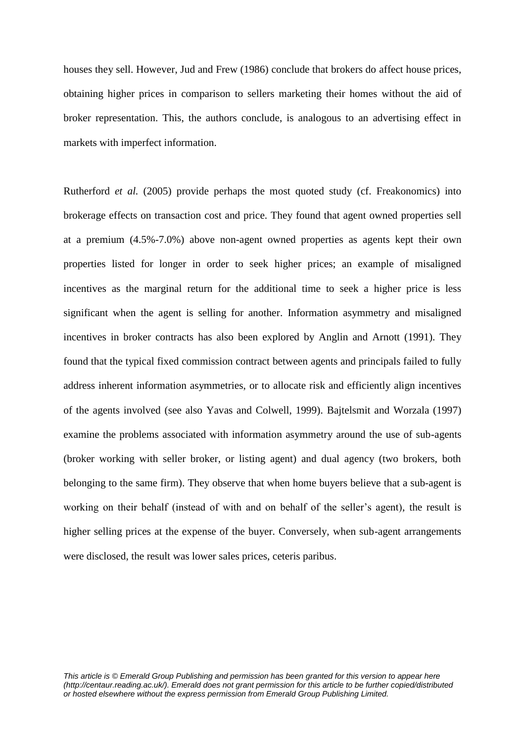houses they sell. However, Jud and Frew (1986) conclude that brokers do affect house prices, obtaining higher prices in comparison to sellers marketing their homes without the aid of broker representation. This, the authors conclude, is analogous to an advertising effect in markets with imperfect information.

Rutherford *et al.* (2005) provide perhaps the most quoted study (cf. Freakonomics) into brokerage effects on transaction cost and price. They found that agent owned properties sell at a premium (4.5%-7.0%) above non-agent owned properties as agents kept their own properties listed for longer in order to seek higher prices; an example of misaligned incentives as the marginal return for the additional time to seek a higher price is less significant when the agent is selling for another. Information asymmetry and misaligned incentives in broker contracts has also been explored by Anglin and Arnott (1991). They found that the typical fixed commission contract between agents and principals failed to fully address inherent information asymmetries, or to allocate risk and efficiently align incentives of the agents involved (see also Yavas and Colwell, 1999). Bajtelsmit and Worzala (1997) examine the problems associated with information asymmetry around the use of sub-agents (broker working with seller broker, or listing agent) and dual agency (two brokers, both belonging to the same firm). They observe that when home buyers believe that a sub-agent is working on their behalf (instead of with and on behalf of the seller's agent), the result is higher selling prices at the expense of the buyer. Conversely, when sub-agent arrangements were disclosed, the result was lower sales prices, ceteris paribus.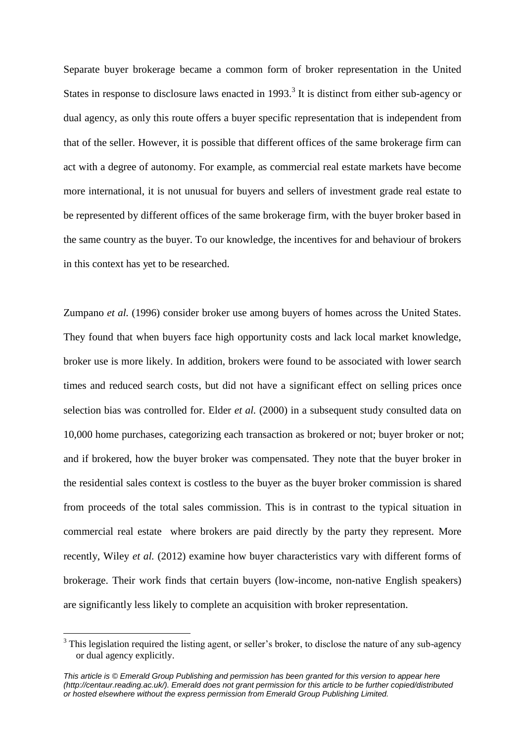Separate buyer brokerage became a common form of broker representation in the United States in response to disclosure laws enacted in  $1993$ .<sup>3</sup> It is distinct from either sub-agency or dual agency, as only this route offers a buyer specific representation that is independent from that of the seller. However, it is possible that different offices of the same brokerage firm can act with a degree of autonomy. For example, as commercial real estate markets have become more international, it is not unusual for buyers and sellers of investment grade real estate to be represented by different offices of the same brokerage firm, with the buyer broker based in the same country as the buyer. To our knowledge, the incentives for and behaviour of brokers in this context has yet to be researched.

Zumpano *et al.* (1996) consider broker use among buyers of homes across the United States. They found that when buyers face high opportunity costs and lack local market knowledge, broker use is more likely. In addition, brokers were found to be associated with lower search times and reduced search costs, but did not have a significant effect on selling prices once selection bias was controlled for. Elder *et al.* (2000) in a subsequent study consulted data on 10,000 home purchases, categorizing each transaction as brokered or not; buyer broker or not; and if brokered, how the buyer broker was compensated. They note that the buyer broker in the residential sales context is costless to the buyer as the buyer broker commission is shared from proceeds of the total sales commission. This is in contrast to the typical situation in commercial real estate where brokers are paid directly by the party they represent. More recently, Wiley *et al.* (2012) examine how buyer characteristics vary with different forms of brokerage. Their work finds that certain buyers (low-income, non-native English speakers) are significantly less likely to complete an acquisition with broker representation.

<sup>&</sup>lt;sup>3</sup> This legislation required the listing agent, or seller's broker, to disclose the nature of any sub-agency or dual agency explicitly.

*This article is © Emerald Group Publishing and permission has been granted for this version to appear here (http://centaur.reading.ac.uk/). Emerald does not grant permission for this article to be further copied/distributed or hosted elsewhere without the express permission from Emerald Group Publishing Limited.*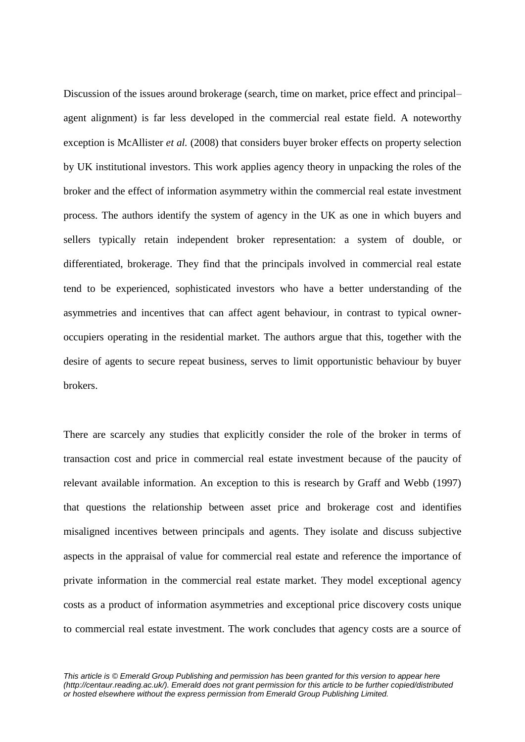Discussion of the issues around brokerage (search, time on market, price effect and principal– agent alignment) is far less developed in the commercial real estate field. A noteworthy exception is McAllister *et al.* (2008) that considers buyer broker effects on property selection by UK institutional investors. This work applies agency theory in unpacking the roles of the broker and the effect of information asymmetry within the commercial real estate investment process. The authors identify the system of agency in the UK as one in which buyers and sellers typically retain independent broker representation: a system of double, or differentiated, brokerage. They find that the principals involved in commercial real estate tend to be experienced, sophisticated investors who have a better understanding of the asymmetries and incentives that can affect agent behaviour, in contrast to typical owneroccupiers operating in the residential market. The authors argue that this, together with the desire of agents to secure repeat business, serves to limit opportunistic behaviour by buyer brokers.

There are scarcely any studies that explicitly consider the role of the broker in terms of transaction cost and price in commercial real estate investment because of the paucity of relevant available information. An exception to this is research by Graff and Webb (1997) that questions the relationship between asset price and brokerage cost and identifies misaligned incentives between principals and agents. They isolate and discuss subjective aspects in the appraisal of value for commercial real estate and reference the importance of private information in the commercial real estate market. They model exceptional agency costs as a product of information asymmetries and exceptional price discovery costs unique to commercial real estate investment. The work concludes that agency costs are a source of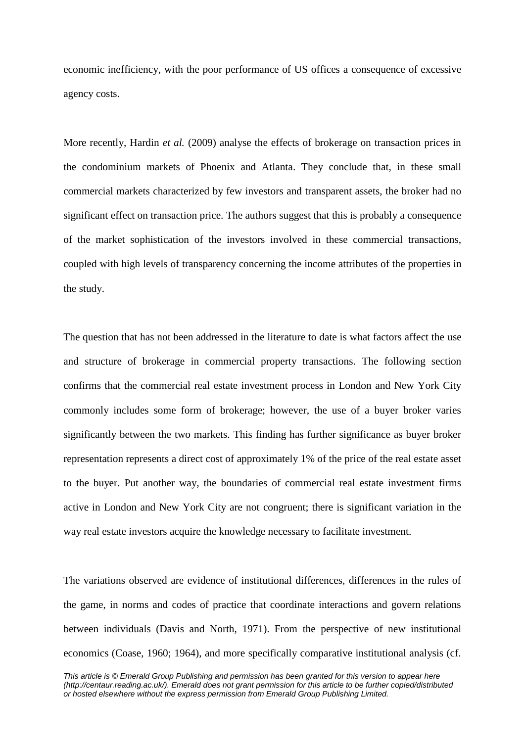economic inefficiency, with the poor performance of US offices a consequence of excessive agency costs.

More recently, Hardin *et al.* (2009) analyse the effects of brokerage on transaction prices in the condominium markets of Phoenix and Atlanta. They conclude that, in these small commercial markets characterized by few investors and transparent assets, the broker had no significant effect on transaction price. The authors suggest that this is probably a consequence of the market sophistication of the investors involved in these commercial transactions, coupled with high levels of transparency concerning the income attributes of the properties in the study.

The question that has not been addressed in the literature to date is what factors affect the use and structure of brokerage in commercial property transactions. The following section confirms that the commercial real estate investment process in London and New York City commonly includes some form of brokerage; however, the use of a buyer broker varies significantly between the two markets. This finding has further significance as buyer broker representation represents a direct cost of approximately 1% of the price of the real estate asset to the buyer. Put another way, the boundaries of commercial real estate investment firms active in London and New York City are not congruent; there is significant variation in the way real estate investors acquire the knowledge necessary to facilitate investment.

The variations observed are evidence of institutional differences, differences in the rules of the game, in norms and codes of practice that coordinate interactions and govern relations between individuals (Davis and North, 1971). From the perspective of new institutional economics (Coase, 1960; 1964), and more specifically comparative institutional analysis (cf.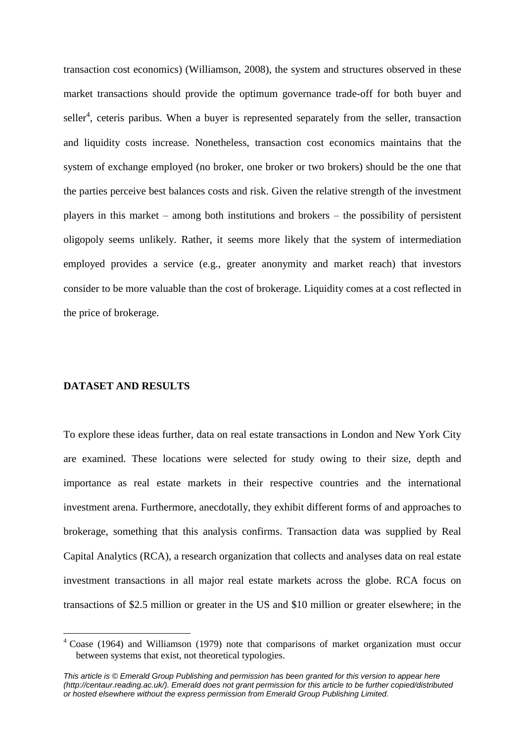transaction cost economics) (Williamson, 2008), the system and structures observed in these market transactions should provide the optimum governance trade-off for both buyer and seller<sup>4</sup>, ceteris paribus. When a buyer is represented separately from the seller, transaction and liquidity costs increase. Nonetheless, transaction cost economics maintains that the system of exchange employed (no broker, one broker or two brokers) should be the one that the parties perceive best balances costs and risk. Given the relative strength of the investment players in this market – among both institutions and brokers – the possibility of persistent oligopoly seems unlikely. Rather, it seems more likely that the system of intermediation employed provides a service (e.g., greater anonymity and market reach) that investors consider to be more valuable than the cost of brokerage. Liquidity comes at a cost reflected in the price of brokerage.

#### **DATASET AND RESULTS**

<u>.</u>

To explore these ideas further, data on real estate transactions in London and New York City are examined. These locations were selected for study owing to their size, depth and importance as real estate markets in their respective countries and the international investment arena. Furthermore, anecdotally, they exhibit different forms of and approaches to brokerage, something that this analysis confirms. Transaction data was supplied by Real Capital Analytics (RCA), a research organization that collects and analyses data on real estate investment transactions in all major real estate markets across the globe. RCA focus on transactions of \$2.5 million or greater in the US and \$10 million or greater elsewhere; in the

 $4 \text{ Coase}$  (1964) and Williamson (1979) note that comparisons of market organization must occur between systems that exist, not theoretical typologies.

*This article is © Emerald Group Publishing and permission has been granted for this version to appear here (http://centaur.reading.ac.uk/). Emerald does not grant permission for this article to be further copied/distributed or hosted elsewhere without the express permission from Emerald Group Publishing Limited.*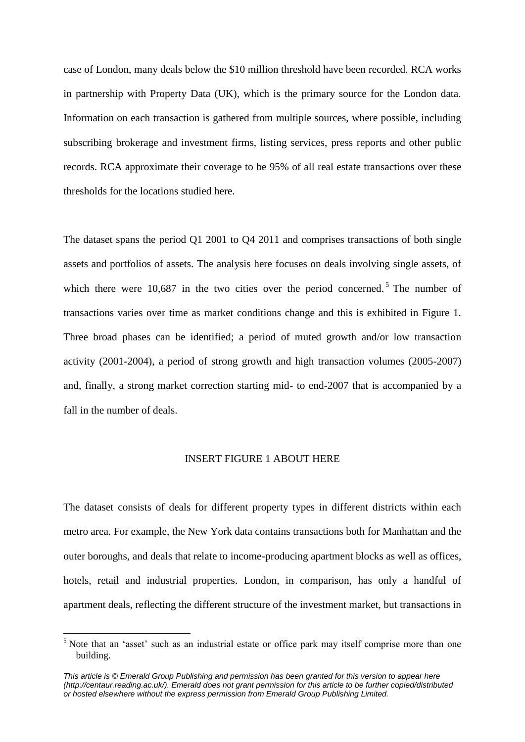case of London, many deals below the \$10 million threshold have been recorded. RCA works in partnership with Property Data (UK), which is the primary source for the London data. Information on each transaction is gathered from multiple sources, where possible, including subscribing brokerage and investment firms, listing services, press reports and other public records. RCA approximate their coverage to be 95% of all real estate transactions over these thresholds for the locations studied here.

The dataset spans the period Q1 2001 to Q4 2011 and comprises transactions of both single assets and portfolios of assets. The analysis here focuses on deals involving single assets, of which there were  $10,687$  in the two cities over the period concerned.<sup>5</sup> The number of transactions varies over time as market conditions change and this is exhibited in Figure 1. Three broad phases can be identified; a period of muted growth and/or low transaction activity (2001-2004), a period of strong growth and high transaction volumes (2005-2007) and, finally, a strong market correction starting mid- to end-2007 that is accompanied by a fall in the number of deals.

#### INSERT FIGURE 1 ABOUT HERE

The dataset consists of deals for different property types in different districts within each metro area. For example, the New York data contains transactions both for Manhattan and the outer boroughs, and deals that relate to income-producing apartment blocks as well as offices, hotels, retail and industrial properties. London, in comparison, has only a handful of apartment deals, reflecting the different structure of the investment market, but transactions in

<sup>&</sup>lt;sup>5</sup> Note that an 'asset' such as an industrial estate or office park may itself comprise more than one building.

*This article is © Emerald Group Publishing and permission has been granted for this version to appear here (http://centaur.reading.ac.uk/). Emerald does not grant permission for this article to be further copied/distributed or hosted elsewhere without the express permission from Emerald Group Publishing Limited.*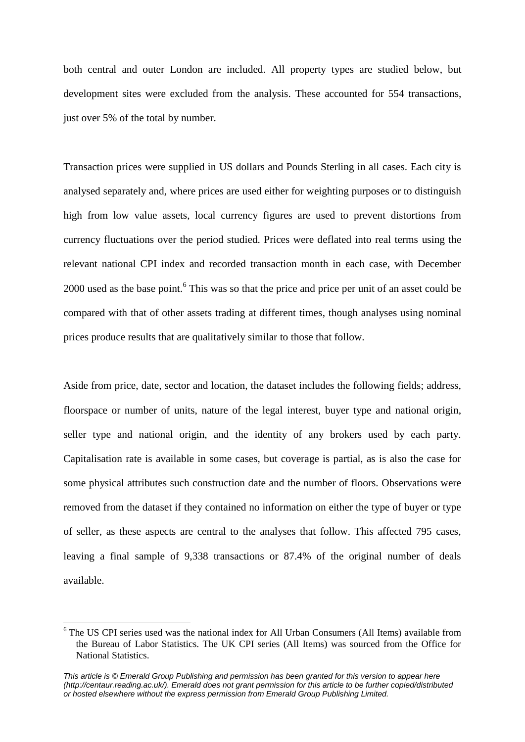both central and outer London are included. All property types are studied below, but development sites were excluded from the analysis. These accounted for 554 transactions, just over 5% of the total by number.

Transaction prices were supplied in US dollars and Pounds Sterling in all cases. Each city is analysed separately and, where prices are used either for weighting purposes or to distinguish high from low value assets, local currency figures are used to prevent distortions from currency fluctuations over the period studied. Prices were deflated into real terms using the relevant national CPI index and recorded transaction month in each case, with December 2000 used as the base point.<sup>6</sup> This was so that the price and price per unit of an asset could be compared with that of other assets trading at different times, though analyses using nominal prices produce results that are qualitatively similar to those that follow.

Aside from price, date, sector and location, the dataset includes the following fields; address, floorspace or number of units, nature of the legal interest, buyer type and national origin, seller type and national origin, and the identity of any brokers used by each party. Capitalisation rate is available in some cases, but coverage is partial, as is also the case for some physical attributes such construction date and the number of floors. Observations were removed from the dataset if they contained no information on either the type of buyer or type of seller, as these aspects are central to the analyses that follow. This affected 795 cases, leaving a final sample of 9,338 transactions or 87.4% of the original number of deals available.

<sup>&</sup>lt;sup>6</sup> The US CPI series used was the national index for All Urban Consumers (All Items) available from the Bureau of Labor Statistics. The UK CPI series (All Items) was sourced from the Office for National Statistics.

*This article is © Emerald Group Publishing and permission has been granted for this version to appear here (http://centaur.reading.ac.uk/). Emerald does not grant permission for this article to be further copied/distributed or hosted elsewhere without the express permission from Emerald Group Publishing Limited.*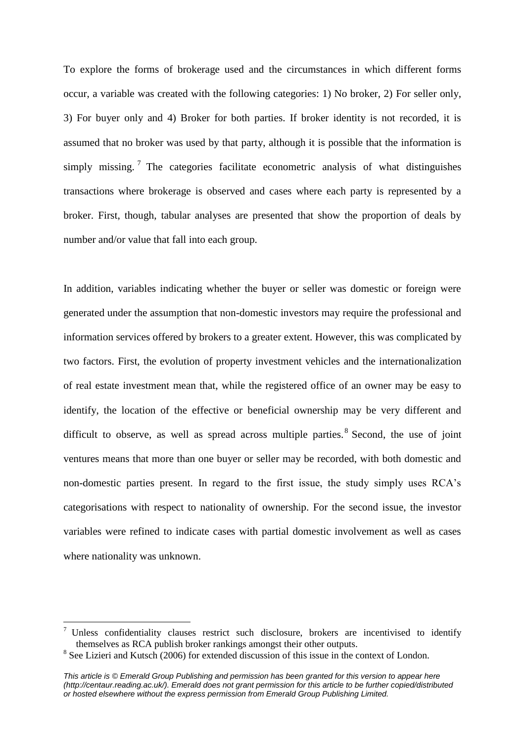To explore the forms of brokerage used and the circumstances in which different forms occur, a variable was created with the following categories: 1) No broker, 2) For seller only, 3) For buyer only and 4) Broker for both parties. If broker identity is not recorded, it is assumed that no broker was used by that party, although it is possible that the information is simply missing.<sup>7</sup> The categories facilitate econometric analysis of what distinguishes transactions where brokerage is observed and cases where each party is represented by a broker. First, though, tabular analyses are presented that show the proportion of deals by number and/or value that fall into each group.

In addition, variables indicating whether the buyer or seller was domestic or foreign were generated under the assumption that non-domestic investors may require the professional and information services offered by brokers to a greater extent. However, this was complicated by two factors. First, the evolution of property investment vehicles and the internationalization of real estate investment mean that, while the registered office of an owner may be easy to identify, the location of the effective or beneficial ownership may be very different and difficult to observe, as well as spread across multiple parties.<sup>8</sup> Second, the use of joint ventures means that more than one buyer or seller may be recorded, with both domestic and non-domestic parties present. In regard to the first issue, the study simply uses RCA's categorisations with respect to nationality of ownership. For the second issue, the investor variables were refined to indicate cases with partial domestic involvement as well as cases where nationality was unknown.

<sup>7</sup> Unless confidentiality clauses restrict such disclosure, brokers are incentivised to identify themselves as RCA publish broker rankings amongst their other outputs.

<sup>&</sup>lt;sup>8</sup> See Lizieri and Kutsch (2006) for extended discussion of this issue in the context of London.

*This article is © Emerald Group Publishing and permission has been granted for this version to appear here (http://centaur.reading.ac.uk/). Emerald does not grant permission for this article to be further copied/distributed or hosted elsewhere without the express permission from Emerald Group Publishing Limited.*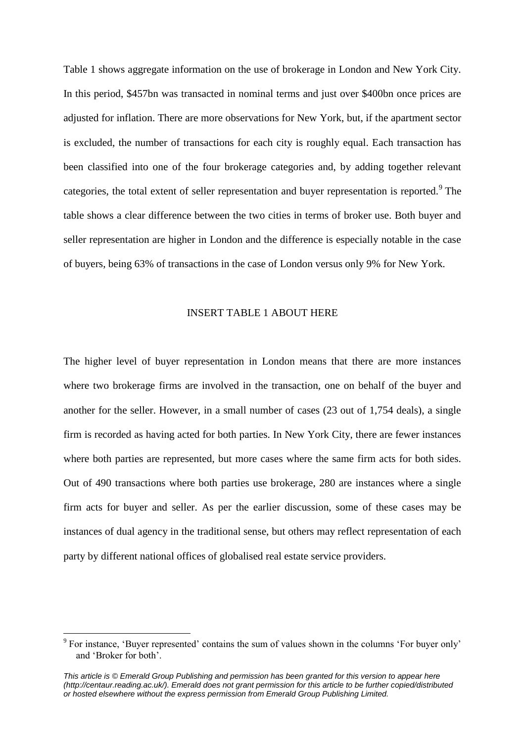Table 1 shows aggregate information on the use of brokerage in London and New York City. In this period, \$457bn was transacted in nominal terms and just over \$400bn once prices are adjusted for inflation. There are more observations for New York, but, if the apartment sector is excluded, the number of transactions for each city is roughly equal. Each transaction has been classified into one of the four brokerage categories and, by adding together relevant categories, the total extent of seller representation and buyer representation is reported.<sup>9</sup> The table shows a clear difference between the two cities in terms of broker use. Both buyer and seller representation are higher in London and the difference is especially notable in the case of buyers, being 63% of transactions in the case of London versus only 9% for New York.

#### INSERT TABLE 1 ABOUT HERE

The higher level of buyer representation in London means that there are more instances where two brokerage firms are involved in the transaction, one on behalf of the buyer and another for the seller. However, in a small number of cases (23 out of 1,754 deals), a single firm is recorded as having acted for both parties. In New York City, there are fewer instances where both parties are represented, but more cases where the same firm acts for both sides. Out of 490 transactions where both parties use brokerage, 280 are instances where a single firm acts for buyer and seller. As per the earlier discussion, some of these cases may be instances of dual agency in the traditional sense, but others may reflect representation of each party by different national offices of globalised real estate service providers.

<sup>&</sup>lt;sup>9</sup> For instance, 'Buyer represented' contains the sum of values shown in the columns 'For buyer only' and 'Broker for both'.

*This article is © Emerald Group Publishing and permission has been granted for this version to appear here (http://centaur.reading.ac.uk/). Emerald does not grant permission for this article to be further copied/distributed or hosted elsewhere without the express permission from Emerald Group Publishing Limited.*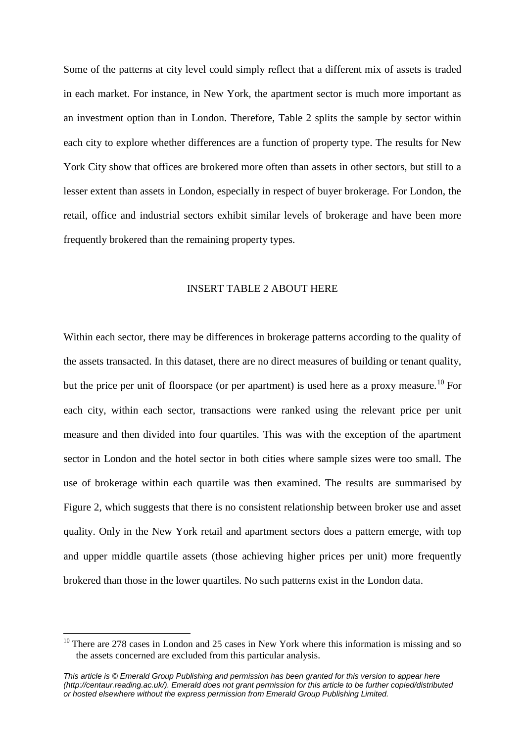Some of the patterns at city level could simply reflect that a different mix of assets is traded in each market. For instance, in New York, the apartment sector is much more important as an investment option than in London. Therefore, Table 2 splits the sample by sector within each city to explore whether differences are a function of property type. The results for New York City show that offices are brokered more often than assets in other sectors, but still to a lesser extent than assets in London, especially in respect of buyer brokerage. For London, the retail, office and industrial sectors exhibit similar levels of brokerage and have been more frequently brokered than the remaining property types.

#### INSERT TABLE 2 ABOUT HERE

Within each sector, there may be differences in brokerage patterns according to the quality of the assets transacted. In this dataset, there are no direct measures of building or tenant quality, but the price per unit of floorspace (or per apartment) is used here as a proxy measure.<sup>10</sup> For each city, within each sector, transactions were ranked using the relevant price per unit measure and then divided into four quartiles. This was with the exception of the apartment sector in London and the hotel sector in both cities where sample sizes were too small. The use of brokerage within each quartile was then examined. The results are summarised by Figure 2, which suggests that there is no consistent relationship between broker use and asset quality. Only in the New York retail and apartment sectors does a pattern emerge, with top and upper middle quartile assets (those achieving higher prices per unit) more frequently brokered than those in the lower quartiles. No such patterns exist in the London data.

<sup>&</sup>lt;sup>10</sup> There are 278 cases in London and 25 cases in New York where this information is missing and so the assets concerned are excluded from this particular analysis.

*This article is © Emerald Group Publishing and permission has been granted for this version to appear here (http://centaur.reading.ac.uk/). Emerald does not grant permission for this article to be further copied/distributed or hosted elsewhere without the express permission from Emerald Group Publishing Limited.*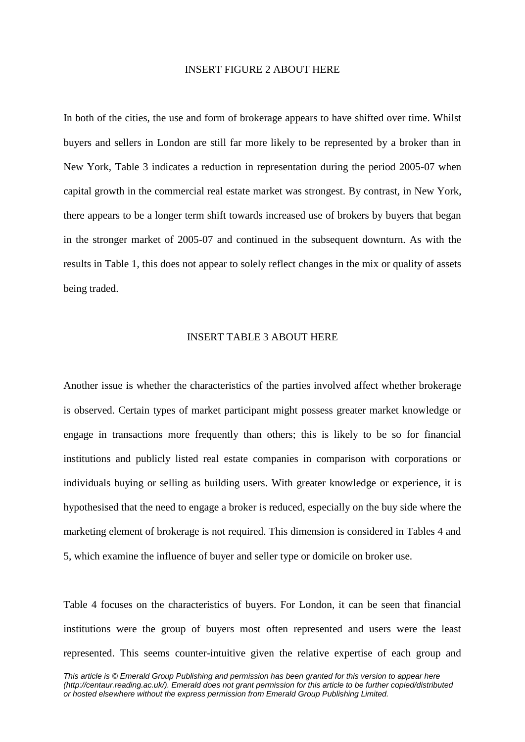#### INSERT FIGURE 2 ABOUT HERE

In both of the cities, the use and form of brokerage appears to have shifted over time. Whilst buyers and sellers in London are still far more likely to be represented by a broker than in New York, Table 3 indicates a reduction in representation during the period 2005-07 when capital growth in the commercial real estate market was strongest. By contrast, in New York, there appears to be a longer term shift towards increased use of brokers by buyers that began in the stronger market of 2005-07 and continued in the subsequent downturn. As with the results in Table 1, this does not appear to solely reflect changes in the mix or quality of assets being traded.

#### INSERT TABLE 3 ABOUT HERE

Another issue is whether the characteristics of the parties involved affect whether brokerage is observed. Certain types of market participant might possess greater market knowledge or engage in transactions more frequently than others; this is likely to be so for financial institutions and publicly listed real estate companies in comparison with corporations or individuals buying or selling as building users. With greater knowledge or experience, it is hypothesised that the need to engage a broker is reduced, especially on the buy side where the marketing element of brokerage is not required. This dimension is considered in Tables 4 and 5, which examine the influence of buyer and seller type or domicile on broker use.

Table 4 focuses on the characteristics of buyers. For London, it can be seen that financial institutions were the group of buyers most often represented and users were the least represented. This seems counter-intuitive given the relative expertise of each group and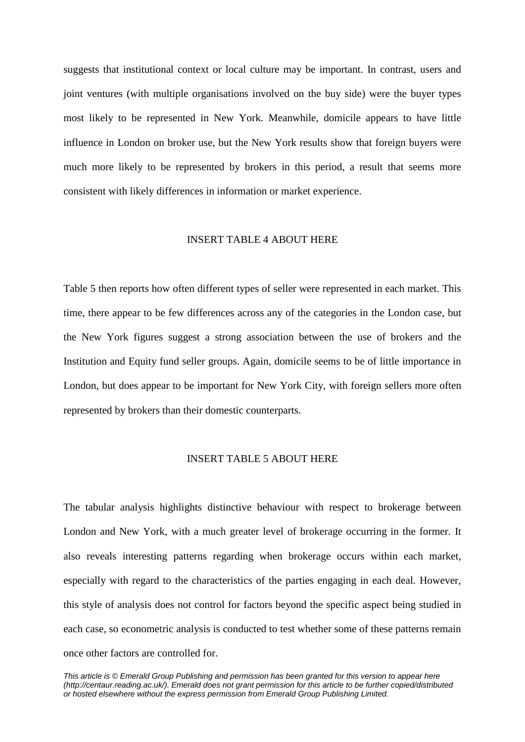suggests that institutional context or local culture may be important. In contrast, users and joint ventures (with multiple organisations involved on the buy side) were the buyer types most likely to be represented in New York. Meanwhile, domicile appears to have little influence in London on broker use, but the New York results show that foreign buyers were much more likely to be represented by brokers in this period, a result that seems more consistent with likely differences in information or market experience.

#### INSERT TABLE 4 ABOUT HERE

Table 5 then reports how often different types of seller were represented in each market. This time, there appear to be few differences across any of the categories in the London case, but the New York figures suggest a strong association between the use of brokers and the Institution and Equity fund seller groups. Again, domicile seems to be of little importance in London, but does appear to be important for New York City, with foreign sellers more often represented by brokers than their domestic counterparts.

#### INSERT TABLE 5 ABOUT HERE

The tabular analysis highlights distinctive behaviour with respect to brokerage between London and New York, with a much greater level of brokerage occurring in the former. It also reveals interesting patterns regarding when brokerage occurs within each market, especially with regard to the characteristics of the parties engaging in each deal. However, this style of analysis does not control for factors beyond the specific aspect being studied in each case, so econometric analysis is conducted to test whether some of these patterns remain once other factors are controlled for.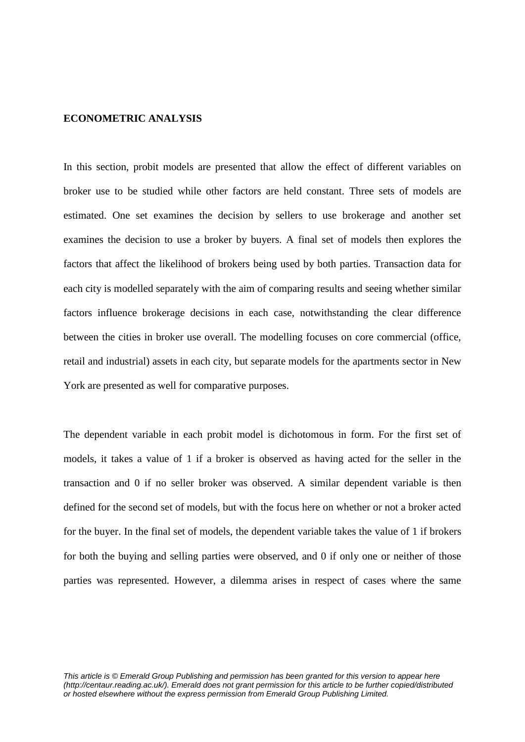#### **ECONOMETRIC ANALYSIS**

In this section, probit models are presented that allow the effect of different variables on broker use to be studied while other factors are held constant. Three sets of models are estimated. One set examines the decision by sellers to use brokerage and another set examines the decision to use a broker by buyers. A final set of models then explores the factors that affect the likelihood of brokers being used by both parties. Transaction data for each city is modelled separately with the aim of comparing results and seeing whether similar factors influence brokerage decisions in each case, notwithstanding the clear difference between the cities in broker use overall. The modelling focuses on core commercial (office, retail and industrial) assets in each city, but separate models for the apartments sector in New York are presented as well for comparative purposes.

The dependent variable in each probit model is dichotomous in form. For the first set of models, it takes a value of 1 if a broker is observed as having acted for the seller in the transaction and 0 if no seller broker was observed. A similar dependent variable is then defined for the second set of models, but with the focus here on whether or not a broker acted for the buyer. In the final set of models, the dependent variable takes the value of 1 if brokers for both the buying and selling parties were observed, and 0 if only one or neither of those parties was represented. However, a dilemma arises in respect of cases where the same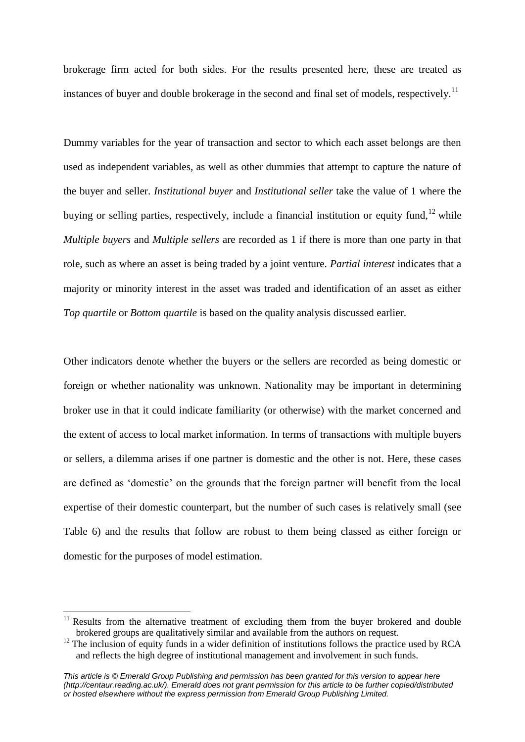brokerage firm acted for both sides. For the results presented here, these are treated as instances of buyer and double brokerage in the second and final set of models, respectively.<sup>11</sup>

Dummy variables for the year of transaction and sector to which each asset belongs are then used as independent variables, as well as other dummies that attempt to capture the nature of the buyer and seller. *Institutional buyer* and *Institutional seller* take the value of 1 where the buying or selling parties, respectively, include a financial institution or equity fund,  $12$  while *Multiple buyers* and *Multiple sellers* are recorded as 1 if there is more than one party in that role, such as where an asset is being traded by a joint venture. *Partial interest* indicates that a majority or minority interest in the asset was traded and identification of an asset as either *Top quartile* or *Bottom quartile* is based on the quality analysis discussed earlier.

Other indicators denote whether the buyers or the sellers are recorded as being domestic or foreign or whether nationality was unknown. Nationality may be important in determining broker use in that it could indicate familiarity (or otherwise) with the market concerned and the extent of access to local market information. In terms of transactions with multiple buyers or sellers, a dilemma arises if one partner is domestic and the other is not. Here, these cases are defined as 'domestic' on the grounds that the foreign partner will benefit from the local expertise of their domestic counterpart, but the number of such cases is relatively small (see Table 6) and the results that follow are robust to them being classed as either foreign or domestic for the purposes of model estimation.

1

Results from the alternative treatment of excluding them from the buyer brokered and double brokered groups are qualitatively similar and available from the authors on request.

<sup>&</sup>lt;sup>12</sup> The inclusion of equity funds in a wider definition of institutions follows the practice used by RCA and reflects the high degree of institutional management and involvement in such funds.

*This article is © Emerald Group Publishing and permission has been granted for this version to appear here (http://centaur.reading.ac.uk/). Emerald does not grant permission for this article to be further copied/distributed or hosted elsewhere without the express permission from Emerald Group Publishing Limited.*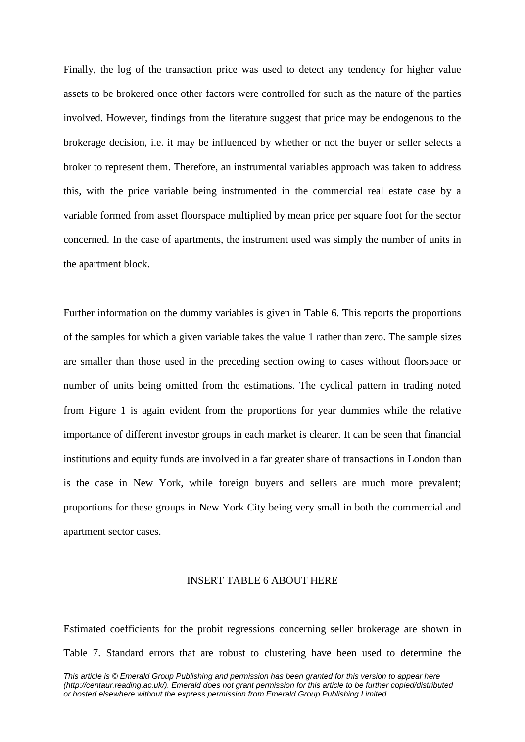Finally, the log of the transaction price was used to detect any tendency for higher value assets to be brokered once other factors were controlled for such as the nature of the parties involved. However, findings from the literature suggest that price may be endogenous to the brokerage decision, i.e. it may be influenced by whether or not the buyer or seller selects a broker to represent them. Therefore, an instrumental variables approach was taken to address this, with the price variable being instrumented in the commercial real estate case by a variable formed from asset floorspace multiplied by mean price per square foot for the sector concerned. In the case of apartments, the instrument used was simply the number of units in the apartment block.

Further information on the dummy variables is given in Table 6. This reports the proportions of the samples for which a given variable takes the value 1 rather than zero. The sample sizes are smaller than those used in the preceding section owing to cases without floorspace or number of units being omitted from the estimations. The cyclical pattern in trading noted from Figure 1 is again evident from the proportions for year dummies while the relative importance of different investor groups in each market is clearer. It can be seen that financial institutions and equity funds are involved in a far greater share of transactions in London than is the case in New York, while foreign buyers and sellers are much more prevalent; proportions for these groups in New York City being very small in both the commercial and apartment sector cases.

#### INSERT TABLE 6 ABOUT HERE

Estimated coefficients for the probit regressions concerning seller brokerage are shown in Table 7. Standard errors that are robust to clustering have been used to determine the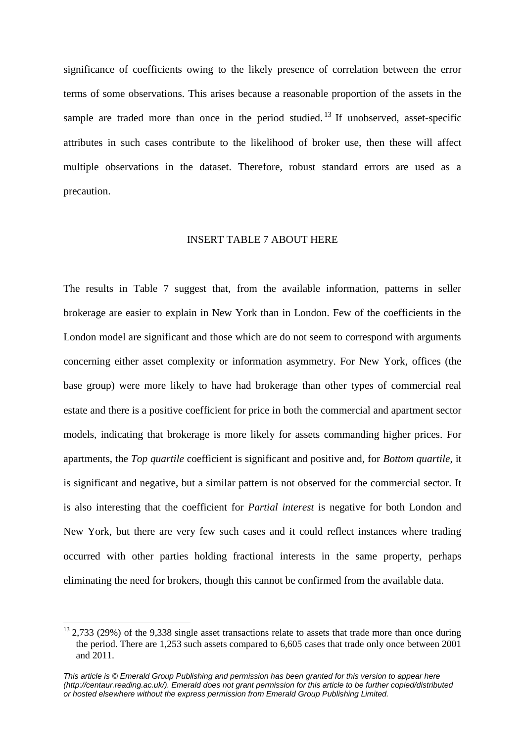significance of coefficients owing to the likely presence of correlation between the error terms of some observations. This arises because a reasonable proportion of the assets in the sample are traded more than once in the period studied.<sup>13</sup> If unobserved, asset-specific attributes in such cases contribute to the likelihood of broker use, then these will affect multiple observations in the dataset. Therefore, robust standard errors are used as a precaution.

#### INSERT TABLE 7 ABOUT HERE

The results in Table 7 suggest that, from the available information, patterns in seller brokerage are easier to explain in New York than in London. Few of the coefficients in the London model are significant and those which are do not seem to correspond with arguments concerning either asset complexity or information asymmetry. For New York, offices (the base group) were more likely to have had brokerage than other types of commercial real estate and there is a positive coefficient for price in both the commercial and apartment sector models, indicating that brokerage is more likely for assets commanding higher prices. For apartments, the *Top quartile* coefficient is significant and positive and, for *Bottom quartile*, it is significant and negative, but a similar pattern is not observed for the commercial sector. It is also interesting that the coefficient for *Partial interest* is negative for both London and New York, but there are very few such cases and it could reflect instances where trading occurred with other parties holding fractional interests in the same property, perhaps eliminating the need for brokers, though this cannot be confirmed from the available data.

 $13$  2,733 (29%) of the 9,338 single asset transactions relate to assets that trade more than once during the period. There are 1,253 such assets compared to 6,605 cases that trade only once between 2001 and 2011.

*This article is © Emerald Group Publishing and permission has been granted for this version to appear here (http://centaur.reading.ac.uk/). Emerald does not grant permission for this article to be further copied/distributed or hosted elsewhere without the express permission from Emerald Group Publishing Limited.*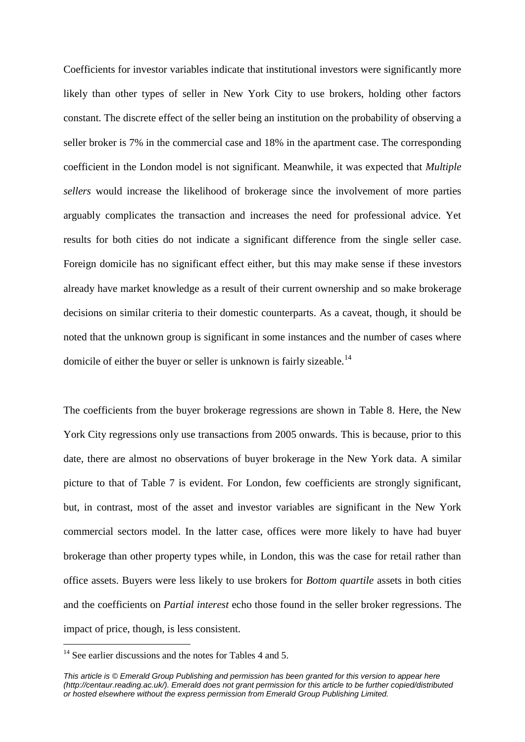Coefficients for investor variables indicate that institutional investors were significantly more likely than other types of seller in New York City to use brokers, holding other factors constant. The discrete effect of the seller being an institution on the probability of observing a seller broker is 7% in the commercial case and 18% in the apartment case. The corresponding coefficient in the London model is not significant. Meanwhile, it was expected that *Multiple sellers* would increase the likelihood of brokerage since the involvement of more parties arguably complicates the transaction and increases the need for professional advice. Yet results for both cities do not indicate a significant difference from the single seller case. Foreign domicile has no significant effect either, but this may make sense if these investors already have market knowledge as a result of their current ownership and so make brokerage decisions on similar criteria to their domestic counterparts. As a caveat, though, it should be noted that the unknown group is significant in some instances and the number of cases where domicile of either the buyer or seller is unknown is fairly sizeable.<sup>14</sup>

The coefficients from the buyer brokerage regressions are shown in Table 8. Here, the New York City regressions only use transactions from 2005 onwards. This is because, prior to this date, there are almost no observations of buyer brokerage in the New York data. A similar picture to that of Table 7 is evident. For London, few coefficients are strongly significant, but, in contrast, most of the asset and investor variables are significant in the New York commercial sectors model. In the latter case, offices were more likely to have had buyer brokerage than other property types while, in London, this was the case for retail rather than office assets. Buyers were less likely to use brokers for *Bottom quartile* assets in both cities and the coefficients on *Partial interest* echo those found in the seller broker regressions. The impact of price, though, is less consistent.

1

<sup>&</sup>lt;sup>14</sup> See earlier discussions and the notes for Tables 4 and 5.

*This article is © Emerald Group Publishing and permission has been granted for this version to appear here (http://centaur.reading.ac.uk/). Emerald does not grant permission for this article to be further copied/distributed or hosted elsewhere without the express permission from Emerald Group Publishing Limited.*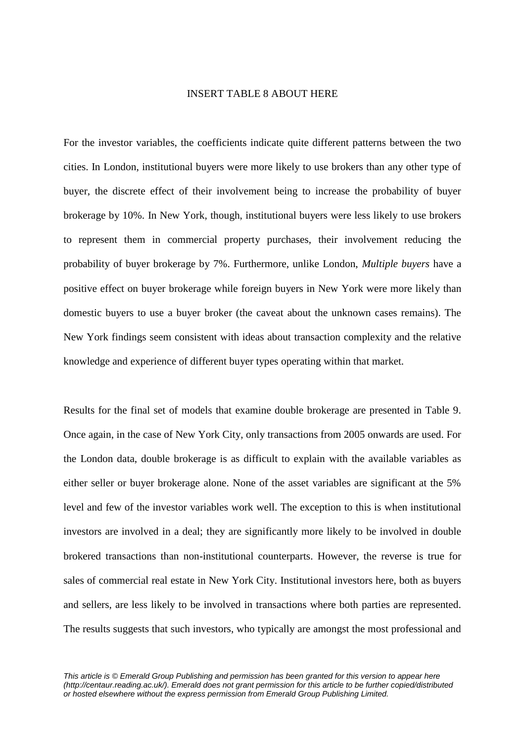#### INSERT TABLE 8 ABOUT HERE

For the investor variables, the coefficients indicate quite different patterns between the two cities. In London, institutional buyers were more likely to use brokers than any other type of buyer, the discrete effect of their involvement being to increase the probability of buyer brokerage by 10%. In New York, though, institutional buyers were less likely to use brokers to represent them in commercial property purchases, their involvement reducing the probability of buyer brokerage by 7%. Furthermore, unlike London, *Multiple buyers* have a positive effect on buyer brokerage while foreign buyers in New York were more likely than domestic buyers to use a buyer broker (the caveat about the unknown cases remains). The New York findings seem consistent with ideas about transaction complexity and the relative knowledge and experience of different buyer types operating within that market.

Results for the final set of models that examine double brokerage are presented in Table 9. Once again, in the case of New York City, only transactions from 2005 onwards are used. For the London data, double brokerage is as difficult to explain with the available variables as either seller or buyer brokerage alone. None of the asset variables are significant at the 5% level and few of the investor variables work well. The exception to this is when institutional investors are involved in a deal; they are significantly more likely to be involved in double brokered transactions than non-institutional counterparts. However, the reverse is true for sales of commercial real estate in New York City. Institutional investors here, both as buyers and sellers, are less likely to be involved in transactions where both parties are represented. The results suggests that such investors, who typically are amongst the most professional and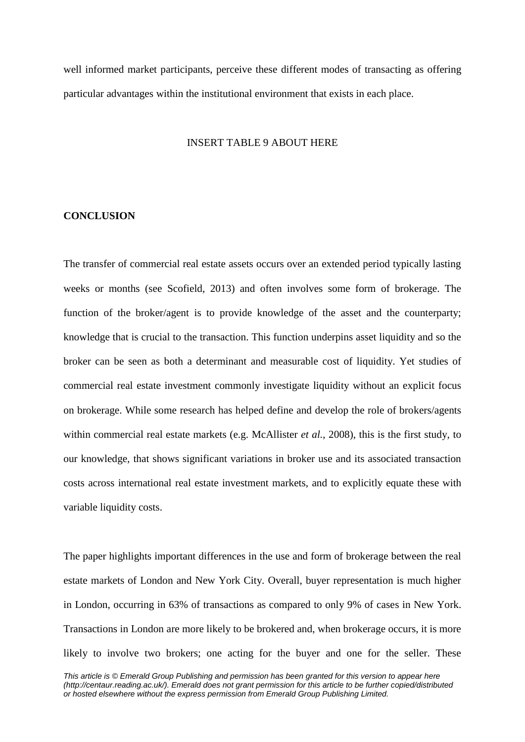well informed market participants, perceive these different modes of transacting as offering particular advantages within the institutional environment that exists in each place.

#### INSERT TABLE 9 ABOUT HERE

#### **CONCLUSION**

The transfer of commercial real estate assets occurs over an extended period typically lasting weeks or months (see Scofield, 2013) and often involves some form of brokerage. The function of the broker/agent is to provide knowledge of the asset and the counterparty; knowledge that is crucial to the transaction. This function underpins asset liquidity and so the broker can be seen as both a determinant and measurable cost of liquidity. Yet studies of commercial real estate investment commonly investigate liquidity without an explicit focus on brokerage. While some research has helped define and develop the role of brokers/agents within commercial real estate markets (e.g. McAllister *et al.*, 2008), this is the first study, to our knowledge, that shows significant variations in broker use and its associated transaction costs across international real estate investment markets, and to explicitly equate these with variable liquidity costs.

The paper highlights important differences in the use and form of brokerage between the real estate markets of London and New York City. Overall, buyer representation is much higher in London, occurring in 63% of transactions as compared to only 9% of cases in New York. Transactions in London are more likely to be brokered and, when brokerage occurs, it is more likely to involve two brokers; one acting for the buyer and one for the seller. These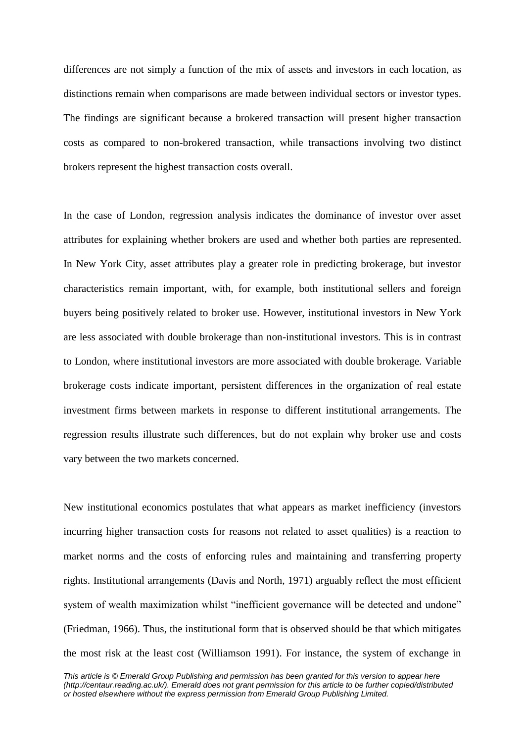differences are not simply a function of the mix of assets and investors in each location, as distinctions remain when comparisons are made between individual sectors or investor types. The findings are significant because a brokered transaction will present higher transaction costs as compared to non-brokered transaction, while transactions involving two distinct brokers represent the highest transaction costs overall.

In the case of London, regression analysis indicates the dominance of investor over asset attributes for explaining whether brokers are used and whether both parties are represented. In New York City, asset attributes play a greater role in predicting brokerage, but investor characteristics remain important, with, for example, both institutional sellers and foreign buyers being positively related to broker use. However, institutional investors in New York are less associated with double brokerage than non-institutional investors. This is in contrast to London, where institutional investors are more associated with double brokerage. Variable brokerage costs indicate important, persistent differences in the organization of real estate investment firms between markets in response to different institutional arrangements. The regression results illustrate such differences, but do not explain why broker use and costs vary between the two markets concerned.

New institutional economics postulates that what appears as market inefficiency (investors incurring higher transaction costs for reasons not related to asset qualities) is a reaction to market norms and the costs of enforcing rules and maintaining and transferring property rights. Institutional arrangements (Davis and North, 1971) arguably reflect the most efficient system of wealth maximization whilst "inefficient governance will be detected and undone" (Friedman, 1966). Thus, the institutional form that is observed should be that which mitigates the most risk at the least cost (Williamson 1991). For instance, the system of exchange in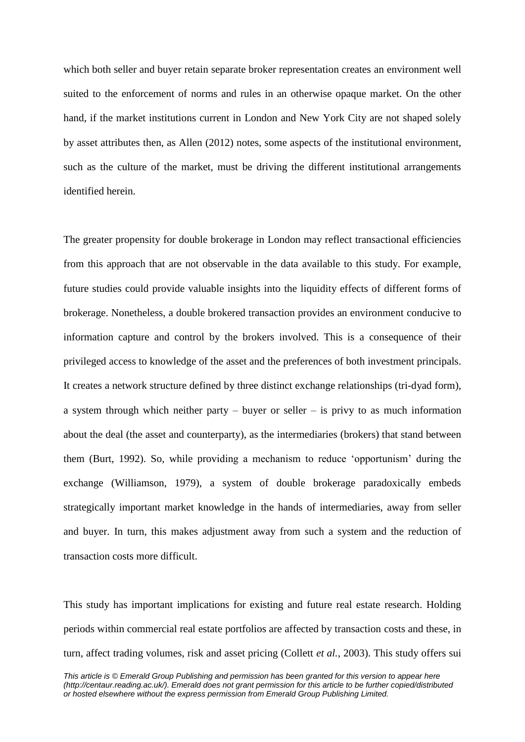which both seller and buyer retain separate broker representation creates an environment well suited to the enforcement of norms and rules in an otherwise opaque market. On the other hand, if the market institutions current in London and New York City are not shaped solely by asset attributes then, as Allen (2012) notes, some aspects of the institutional environment, such as the culture of the market, must be driving the different institutional arrangements identified herein.

The greater propensity for double brokerage in London may reflect transactional efficiencies from this approach that are not observable in the data available to this study. For example, future studies could provide valuable insights into the liquidity effects of different forms of brokerage. Nonetheless, a double brokered transaction provides an environment conducive to information capture and control by the brokers involved. This is a consequence of their privileged access to knowledge of the asset and the preferences of both investment principals. It creates a network structure defined by three distinct exchange relationships (tri-dyad form), a system through which neither party – buyer or seller – is privy to as much information about the deal (the asset and counterparty), as the intermediaries (brokers) that stand between them (Burt, 1992). So, while providing a mechanism to reduce 'opportunism' during the exchange (Williamson, 1979), a system of double brokerage paradoxically embeds strategically important market knowledge in the hands of intermediaries, away from seller and buyer. In turn, this makes adjustment away from such a system and the reduction of transaction costs more difficult.

This study has important implications for existing and future real estate research. Holding periods within commercial real estate portfolios are affected by transaction costs and these, in turn, affect trading volumes, risk and asset pricing (Collett *et al.*, 2003). This study offers sui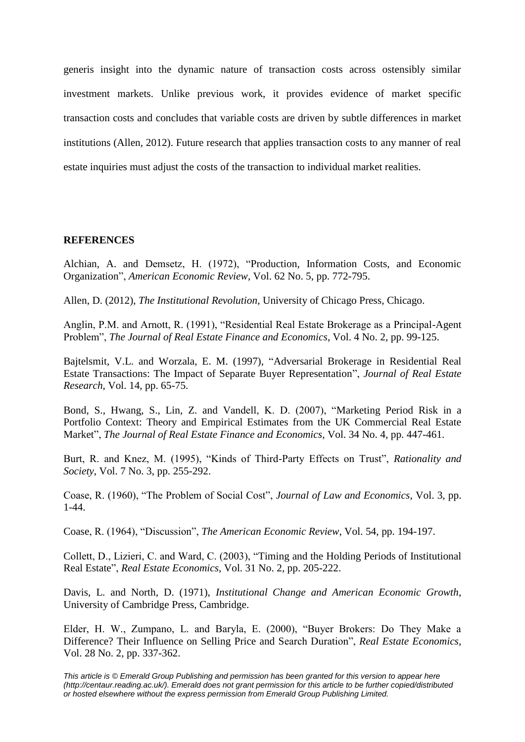generis insight into the dynamic nature of transaction costs across ostensibly similar investment markets. Unlike previous work, it provides evidence of market specific transaction costs and concludes that variable costs are driven by subtle differences in market institutions (Allen, 2012). Future research that applies transaction costs to any manner of real estate inquiries must adjust the costs of the transaction to individual market realities.

#### **REFERENCES**

Alchian, A. and Demsetz, H. (1972), "Production, Information Costs, and Economic Organization", *American Economic Review*, Vol. 62 No. 5, pp. 772-795.

Allen, D. (2012), *The Institutional Revolution*, University of Chicago Press, Chicago.

Anglin, P.M. and Arnott, R. (1991), "Residential Real Estate Brokerage as a Principal-Agent Problem", *The Journal of Real Estate Finance and Economics*, Vol. 4 No. 2, pp. 99-125.

Bajtelsmit, V.L. and Worzala, E. M. (1997), ["Adversarial Brokerage in Residential Real](http://ares.metapress.com/content/91180l4m4376462l/)  [Estate Transactions: The Impact of Separate Buyer Representation"](http://ares.metapress.com/content/91180l4m4376462l/), *Journal of Real Estate Research*, Vol. 14, pp. 65-75.

Bond, S., Hwang, S., Lin, Z. and Vandell, K. D. (2007), "Marketing Period Risk in a Portfolio Context: Theory and Empirical Estimates from the UK Commercial Real Estate Market", *The Journal of Real Estate Finance and Economics*, Vol. 34 No. 4, pp. 447-461.

Burt, R. and Knez, M. (1995), "Kinds of Third-Party Effects on Trust", *Rationality and Society*, Vol. 7 No. 3, pp. 255-292.

Coase, R. (1960), "The Problem of Social Cost", *Journal of Law and Economics*, Vol. 3, pp. 1-44.

Coase, R. (1964), "Discussion", *The American Economic Review*, Vol. 54, pp. 194-197.

Collett, D., Lizieri, C. and Ward, C. (2003), "Timing and the Holding Periods of Institutional Real Estate", *Real Estate Economics*, Vol. 31 No. 2, pp. 205-222.

Davis, L. and North, D. (1971), *Institutional Change and American Economic Growth*, University of Cambridge Press, Cambridge.

Elder, H. W., Zumpano, L. and Baryla, E. (2000), "Buyer Brokers: Do They Make a Difference? Their Influence on Selling Price and Search Duration", *Real Estate Economics*, Vol. 28 No. 2, pp. 337-362.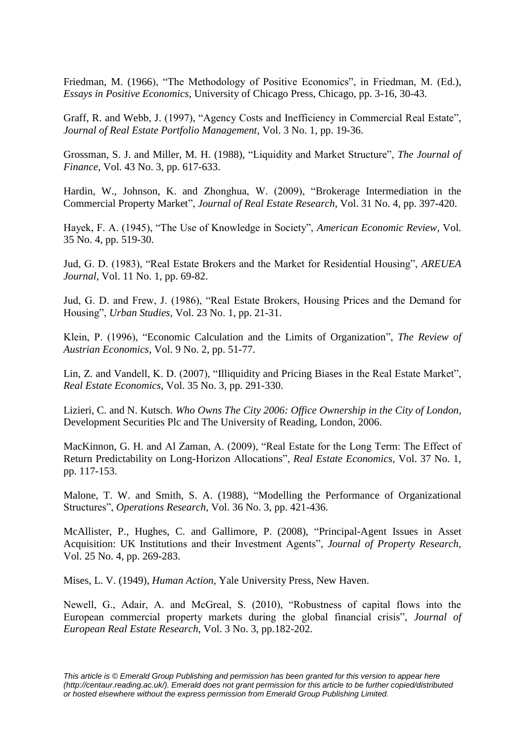Friedman, M. (1966), "The Methodology of Positive Economics", in Friedman, M. (Ed.), *Essays in Positive Economics*, University of Chicago Press, Chicago, pp. 3-16, 30-43.

Graff, R. and Webb, J. (1997), "Agency Costs and Inefficiency in Commercial Real Estate", *Journal of Real Estate Portfolio Management*, Vol. 3 No. 1, pp. 19-36.

Grossman, S. J. and Miller, M. H. (1988), "Liquidity and Market Structure", *The Journal of Finance*, Vol. 43 No. 3, pp. 617-633.

Hardin, W., Johnson, K. and Zhonghua, W. (2009), "Brokerage Intermediation in the Commercial Property Market", *Journal of Real Estate Research*, Vol. 31 No. 4, pp. 397-420.

Hayek, F. A. (1945), "The Use of Knowledge in Society", *American Economic Review*, Vol. 35 No. 4, pp. 519-30.

Jud, G. D. (1983), "Real Estate Brokers and the Market for Residential Housing", *AREUEA Journal*, Vol. 11 No. 1, pp. 69-82.

Jud, G. D. and Frew, J. (1986), "Real Estate Brokers, Housing Prices and the Demand for Housing", *Urban Studies*, Vol. 23 No. 1, pp. 21-31.

Klein, P. (1996), "Economic Calculation and the Limits of Organization", *The Review of Austrian Economics*, Vol. 9 No. 2, pp. 51-77.

Lin, Z. and Vandell, K. D. (2007), "Illiquidity and Pricing Biases in the Real Estate Market", *Real Estate Economics*, Vol. 35 No. 3, pp. 291-330.

Lizieri, C. and N. Kutsch. *Who Owns The City 2006: Office Ownership in the City of London*, Development Securities Plc and The University of Reading, London, 2006.

MacKinnon, G. H. and Al Zaman, A. (2009), "Real Estate for the Long Term: The Effect of Return Predictability on Long-Horizon Allocations", *Real Estate Economics*, Vol. 37 No. 1, pp. 117-153.

Malone, T. W. and Smith, S. A. (1988), "Modelling the Performance of Organizational Structures", *Operations Research*, Vol. 36 No. 3, pp. 421-436.

McAllister, P., Hughes, C. and Gallimore, P. (2008), "Principal-Agent Issues in Asset Acquisition: UK Institutions and their Investment Agents", *Journal of Property Research,* Vol. 25 No. 4, pp. 269-283.

Mises, L. V. (1949), *Human Action,* Yale University Press, New Haven.

Newell, G., Adair, A. and McGreal, S. (2010), "Robustness of capital flows into the European commercial property markets during the global financial crisis", *Journal of European Real Estate Research*, Vol. 3 No. 3, pp.182-202.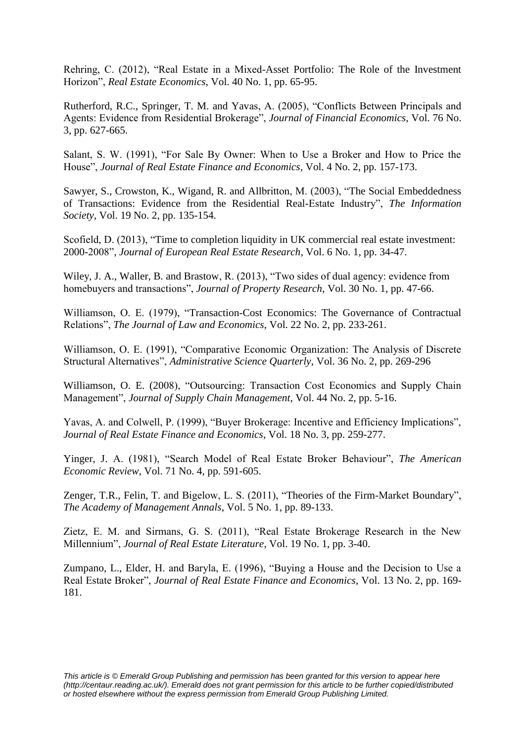Rehring, C. (2012), "Real Estate in a Mixed-Asset Portfolio: The Role of the Investment Horizon", *Real Estate Economics*, Vol. 40 No. 1, pp. 65-95.

Rutherford, R.C., Springer, T. M. and Yavas, A. (2005), "Conflicts Between Principals and Agents: Evidence from Residential Brokerage", *Journal of Financial Economics*, Vol. 76 No. 3, pp. 627-665.

Salant, S. W. (1991), "For Sale By Owner: When to Use a Broker and How to Price the House", *Journal of Real Estate Finance and Economics*, Vol. 4 No. 2, pp. 157-173.

Sawyer, S., Crowston, K., Wigand, R. and Allbritton, M. (2003), "The Social Embeddedness of Transactions: Evidence from the Residential Real-Estate Industry", *The Information Society*, Vol. 19 No. 2, pp. 135-154.

Scofield, D. (2013), "Time to completion liquidity in UK commercial real estate investment: 2000-2008", *Journal of European Real Estate Research*, Vol. 6 No. 1, pp. 34-47.

Wiley, J. A., Waller, B. and Brastow, R. (2013), "Two sides of dual agency: evidence from homebuyers and transactions", *Journal of Property Research*, Vol. 30 No. 1, pp. 47-66.

Williamson, O. E. (1979), "Transaction-Cost Economics: The Governance of Contractual Relations", *The Journal of Law and Economics*, Vol. 22 No. 2, pp. 233-261.

Williamson, O. E. (1991), "Comparative Economic Organization: The Analysis of Discrete Structural Alternatives", *Administrative Science Quarterly*, Vol. 36 No. 2, pp. 269-296

Williamson, O. E. (2008), "Outsourcing: Transaction Cost Economics and Supply Chain Management", *Journal of Supply Chain Management*, Vol. 44 No. 2, pp. 5-16.

Yavas, A. and Colwell, P. (1999), "Buyer Brokerage: Incentive and Efficiency Implications", *Journal of Real Estate Finance and Economics*, Vol. 18 No. 3, pp. 259-277.

Yinger, J. A. (1981), "Search Model of Real Estate Broker Behaviour", *The American Economic Review*, Vol. 71 No. 4, pp. 591-605.

Zenger, T.R., Felin, T. and Bigelow, L. S. (2011), "Theories of the Firm-Market Boundary", *The Academy of Management Annals*, Vol. 5 No. 1, pp. 89-133.

Zietz, E. M. and Sirmans, G. S. (2011), "Real Estate Brokerage Research in the New Millennium", *Journal of Real Estate Literature*, Vol. 19 No. 1, pp. 3-40.

Zumpano, L., Elder, H. and Baryla, E. (1996), "Buying a House and the Decision to Use a Real Estate Broker", *Journal of Real Estate Finance and Economics*, Vol. 13 No. 2, pp. 169- 181.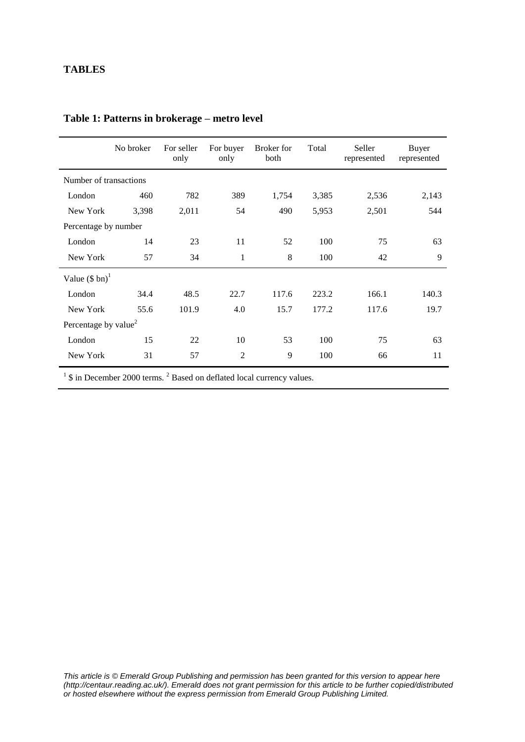#### **TABLES**

|                                  | No broker | For seller<br>only | For buyer<br>only | Broker for<br>both | Total | Seller<br>represented | Buyer<br>represented |
|----------------------------------|-----------|--------------------|-------------------|--------------------|-------|-----------------------|----------------------|
| Number of transactions           |           |                    |                   |                    |       |                       |                      |
| London                           | 460       | 782                | 389               | 1,754              | 3,385 | 2,536                 | 2,143                |
| New York                         | 3,398     | 2,011              | 54                | 490                | 5,953 | 2,501                 | 544                  |
| Percentage by number             |           |                    |                   |                    |       |                       |                      |
| London                           | 14        | 23                 | 11                | 52                 | 100   | 75                    | 63                   |
| New York                         | 57        | 34                 | $\mathbf{1}$      | 8                  | 100   | 42                    | 9                    |
| Value $(\$ \ bn)^1$              |           |                    |                   |                    |       |                       |                      |
| London                           | 34.4      | 48.5               | 22.7              | 117.6              | 223.2 | 166.1                 | 140.3                |
| New York                         | 55.6      | 101.9              | 4.0               | 15.7               | 177.2 | 117.6                 | 19.7                 |
| Percentage by value <sup>2</sup> |           |                    |                   |                    |       |                       |                      |
| London                           | 15        | 22                 | 10                | 53                 | 100   | 75                    | 63                   |
| New York                         | 31        | 57                 | 2                 | 9                  | 100   | 66                    | 11                   |

#### **Table 1: Patterns in brokerage – metro level**

 $1\$  in December 2000 terms.  $2$  Based on deflated local currency values.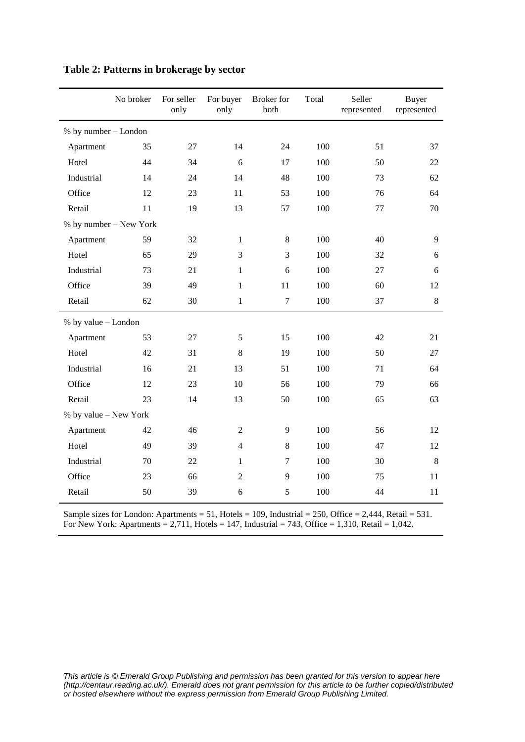|                       | No broker              | For seller<br>only | For buyer<br>only | <b>Broker</b> for<br>both | Total | Seller<br>represented | <b>Buyer</b><br>represented |
|-----------------------|------------------------|--------------------|-------------------|---------------------------|-------|-----------------------|-----------------------------|
| % by number - London  |                        |                    |                   |                           |       |                       |                             |
| Apartment             | 35                     | 27                 | 14                | 24                        | 100   | 51                    | 37                          |
| Hotel                 | 44                     | 34                 | 6                 | 17                        | 100   | 50                    | 22                          |
| Industrial            | 14                     | 24                 | 14                | 48                        | 100   | 73                    | 62                          |
| Office                | 12                     | 23                 | 11                | 53                        | 100   | 76                    | 64                          |
| Retail                | 11                     | 19                 | 13                | 57                        | 100   | 77                    | 70                          |
|                       | % by number - New York |                    |                   |                           |       |                       |                             |
| Apartment             | 59                     | 32                 | $\mathbf{1}$      | $\,8\,$                   | 100   | 40                    | 9                           |
| Hotel                 | 65                     | 29                 | 3                 | 3                         | 100   | 32                    | 6                           |
| Industrial            | 73                     | 21                 | $\mathbf{1}$      | 6                         | 100   | 27                    | 6                           |
| Office                | 39                     | 49                 | $\mathbf{1}$      | 11                        | 100   | 60                    | 12                          |
| Retail                | 62                     | 30                 | $\mathbf{1}$      | $\overline{7}$            | 100   | 37                    | $8\,$                       |
| % by value - London   |                        |                    |                   |                           |       |                       |                             |
| Apartment             | 53                     | 27                 | $\sqrt{5}$        | 15                        | 100   | 42                    | 21                          |
| Hotel                 | 42                     | 31                 | $8\,$             | 19                        | 100   | 50                    | 27                          |
| Industrial            | 16                     | 21                 | 13                | 51                        | 100   | 71                    | 64                          |
| Office                | 12                     | 23                 | 10                | 56                        | 100   | 79                    | 66                          |
| Retail                | 23                     | 14                 | 13                | 50                        | 100   | 65                    | 63                          |
| % by value - New York |                        |                    |                   |                           |       |                       |                             |
| Apartment             | 42                     | 46                 | $\overline{2}$    | 9                         | 100   | 56                    | 12                          |
| Hotel                 | 49                     | 39                 | $\overline{4}$    | 8                         | 100   | 47                    | 12                          |
| Industrial            | 70                     | 22                 | $\mathbf{1}$      | $\boldsymbol{7}$          | 100   | 30                    | $\,8\,$                     |
| Office                | 23                     | 66                 | $\overline{2}$    | 9                         | 100   | 75                    | 11                          |
| Retail                | 50                     | 39                 | 6                 | 5                         | 100   | 44                    | 11                          |

**Table 2: Patterns in brokerage by sector**

Sample sizes for London: Apartments = 51, Hotels = 109, Industrial = 250, Office = 2,444, Retail = 531. For New York: Apartments =  $2,711$ , Hotels = 147, Industrial = 743, Office = 1,310, Retail = 1,042.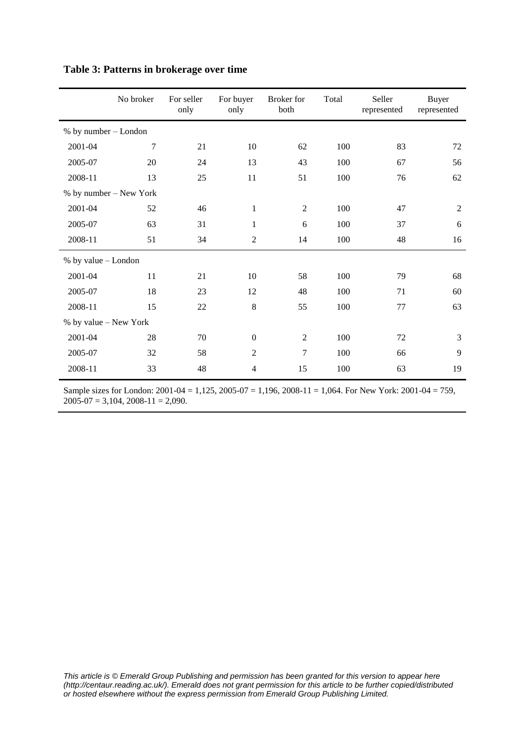|                        | No broker | For seller<br>only | For buyer<br>only | Broker for<br>both | Total | Seller<br>represented | <b>Buyer</b><br>represented |
|------------------------|-----------|--------------------|-------------------|--------------------|-------|-----------------------|-----------------------------|
| % by number - London   |           |                    |                   |                    |       |                       |                             |
| 2001-04                | 7         | 21                 | 10                | 62                 | 100   | 83                    | 72                          |
| 2005-07                | 20        | 24                 | 13                | 43                 | 100   | 67                    | 56                          |
| 2008-11                | 13        | 25                 | 11                | 51                 | 100   | 76                    | 62                          |
| % by number - New York |           |                    |                   |                    |       |                       |                             |
| 2001-04                | 52        | 46                 | $\mathbf{1}$      | $\mathfrak{2}$     | 100   | 47                    | $\mathfrak{2}$              |
| 2005-07                | 63        | 31                 | 1                 | 6                  | 100   | 37                    | 6                           |
| 2008-11                | 51        | 34                 | $\overline{2}$    | 14                 | 100   | 48                    | 16                          |
| % by value - London    |           |                    |                   |                    |       |                       |                             |
| 2001-04                | 11        | 21                 | 10                | 58                 | 100   | 79                    | 68                          |
| 2005-07                | 18        | 23                 | 12                | 48                 | 100   | 71                    | 60                          |
| 2008-11                | 15        | 22                 | 8                 | 55                 | 100   | 77                    | 63                          |
| % by value - New York  |           |                    |                   |                    |       |                       |                             |
| 2001-04                | 28        | 70                 | $\overline{0}$    | $\mathfrak{2}$     | 100   | 72                    | 3                           |
| 2005-07                | 32        | 58                 | $\overline{2}$    | 7                  | 100   | 66                    | 9                           |
| 2008-11                | 33        | 48                 | $\overline{4}$    | 15                 | 100   | 63                    | 19                          |

**Table 3: Patterns in brokerage over time**

Sample sizes for London: 2001-04 = 1,125, 2005-07 = 1,196, 2008-11 = 1,064. For New York: 2001-04 = 759,  $200\overline{5} - 07 = 3{,}104{,}2008 - 11 = 2{,}090.$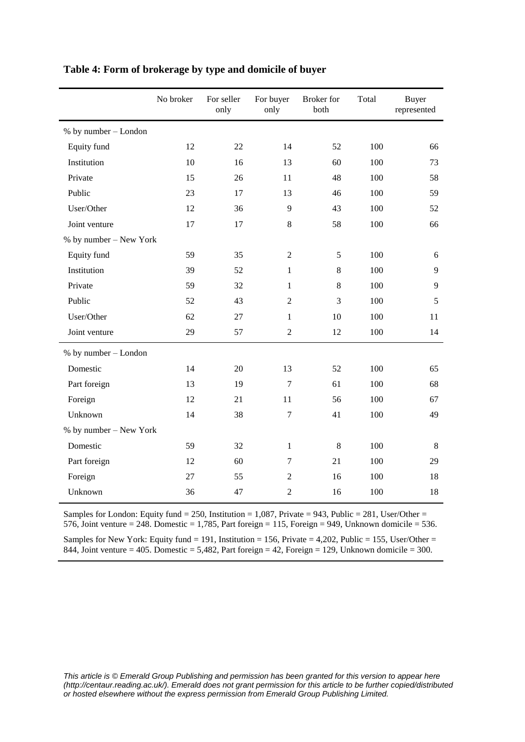|                        | No broker | For seller<br>only | For buyer<br>only | <b>Broker</b> for<br>both | Total | <b>Buyer</b><br>represented |
|------------------------|-----------|--------------------|-------------------|---------------------------|-------|-----------------------------|
| % by number - London   |           |                    |                   |                           |       |                             |
| Equity fund            | 12        | 22                 | 14                | 52                        | 100   | 66                          |
| Institution            | 10        | 16                 | 13                | 60                        | 100   | 73                          |
| Private                | 15        | 26                 | 11                | 48                        | 100   | 58                          |
| Public                 | 23        | 17                 | 13                | 46                        | 100   | 59                          |
| User/Other             | 12        | 36                 | 9                 | 43                        | 100   | 52                          |
| Joint venture          | 17        | 17                 | $\,8\,$           | 58                        | 100   | 66                          |
| % by number - New York |           |                    |                   |                           |       |                             |
| Equity fund            | 59        | 35                 | $\overline{2}$    | 5                         | 100   | 6                           |
| Institution            | 39        | 52                 | $\mathbf{1}$      | 8                         | 100   | 9                           |
| Private                | 59        | 32                 | 1                 | $8\,$                     | 100   | $\overline{9}$              |
| Public                 | 52        | 43                 | $\overline{2}$    | 3                         | 100   | 5                           |
| User/Other             | 62        | 27                 | $\mathbf{1}$      | 10                        | 100   | 11                          |
| Joint venture          | 29        | 57                 | $\overline{2}$    | 12                        | 100   | 14                          |
| % by number - London   |           |                    |                   |                           |       |                             |
| Domestic               | 14        | 20                 | 13                | 52                        | 100   | 65                          |
| Part foreign           | 13        | 19                 | $\overline{7}$    | 61                        | 100   | 68                          |
| Foreign                | 12        | 21                 | 11                | 56                        | 100   | 67                          |
| Unknown                | 14        | 38                 | $\tau$            | 41                        | 100   | 49                          |
| % by number - New York |           |                    |                   |                           |       |                             |
| Domestic               | 59        | 32                 | 1                 | $\,8\,$                   | 100   | 8                           |
| Part foreign           | 12        | 60                 | $\tau$            | 21                        | 100   | 29                          |
| Foreign                | 27        | 55                 | $\overline{2}$    | 16                        | 100   | 18                          |
| Unknown                | 36        | 47                 | $\overline{2}$    | 16                        | 100   | 18                          |

#### **Table 4: Form of brokerage by type and domicile of buyer**

Samples for London: Equity fund = 250, Institution = 1,087, Private = 943, Public = 281, User/Other = 576, Joint venture = 248. Domestic = 1,785, Part foreign = 115, Foreign = 949, Unknown domicile = 536.

Samples for New York: Equity fund = 191, Institution = 156, Private = 4,202, Public = 155, User/Other = 844, Joint venture = 405. Domestic = 5,482, Part foreign = 42, Foreign = 129, Unknown domicile = 300.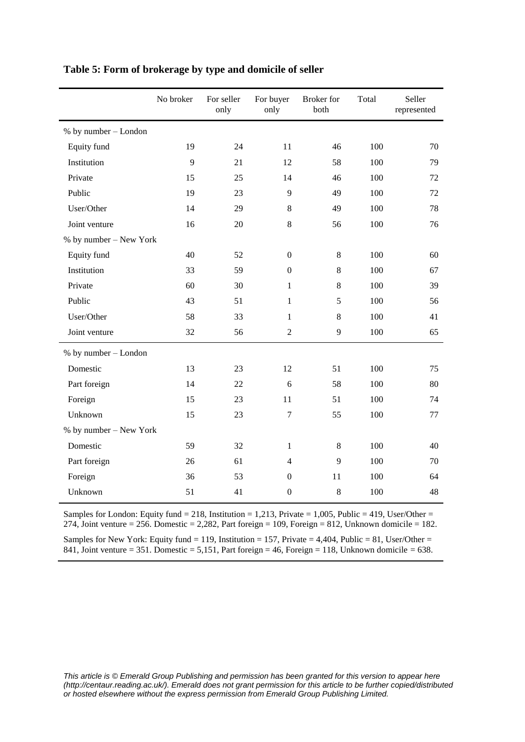|                        | No broker | For seller<br>only | For buyer<br>only | <b>Broker</b> for<br>both | Total | Seller<br>represented |
|------------------------|-----------|--------------------|-------------------|---------------------------|-------|-----------------------|
| % by number - London   |           |                    |                   |                           |       |                       |
| Equity fund            | 19        | 24                 | 11                | 46                        | 100   | 70                    |
| Institution            | 9         | 21                 | 12                | 58                        | 100   | 79                    |
| Private                | 15        | 25                 | 14                | 46                        | 100   | 72                    |
| Public                 | 19        | 23                 | 9                 | 49                        | 100   | 72                    |
| User/Other             | 14        | 29                 | $8\,$             | 49                        | 100   | 78                    |
| Joint venture          | 16        | 20                 | $8\,$             | 56                        | 100   | 76                    |
| % by number - New York |           |                    |                   |                           |       |                       |
| Equity fund            | 40        | 52                 | $\boldsymbol{0}$  | 8                         | 100   | 60                    |
| Institution            | 33        | 59                 | $\mathbf{0}$      | 8                         | 100   | 67                    |
| Private                | 60        | 30                 | 1                 | 8                         | 100   | 39                    |
| Public                 | 43        | 51                 | $\mathbf{1}$      | 5                         | 100   | 56                    |
| User/Other             | 58        | 33                 | $\mathbf{1}$      | 8                         | 100   | 41                    |
| Joint venture          | 32        | 56                 | $\overline{2}$    | 9                         | 100   | 65                    |
| % by number - London   |           |                    |                   |                           |       |                       |
| Domestic               | 13        | 23                 | 12                | 51                        | 100   | 75                    |
| Part foreign           | 14        | 22                 | 6                 | 58                        | 100   | 80                    |
| Foreign                | 15        | 23                 | 11                | 51                        | 100   | 74                    |
| Unknown                | 15        | 23                 | $\overline{7}$    | 55                        | 100   | 77                    |
| % by number – New York |           |                    |                   |                           |       |                       |
| Domestic               | 59        | 32                 | 1                 | $\,8\,$                   | 100   | 40                    |
| Part foreign           | 26        | 61                 | $\overline{4}$    | 9                         | 100   | 70                    |
| Foreign                | 36        | 53                 | $\Omega$          | 11                        | 100   | 64                    |
| Unknown                | 51        | 41                 | $\mathbf{0}$      | 8                         | 100   | 48                    |

#### **Table 5: Form of brokerage by type and domicile of seller**

Samples for London: Equity fund = 218, Institution = 1,213, Private = 1,005, Public = 419, User/Other = 274, Joint venture = 256. Domestic = 2,282, Part foreign = 109, Foreign = 812, Unknown domicile = 182.

Samples for New York: Equity fund  $= 119$ , Institution  $= 157$ , Private  $= 4,404$ , Public  $= 81$ , User/Other  $=$ 841, Joint venture = 351. Domestic = 5,151, Part foreign = 46, Foreign = 118, Unknown domicile = 638.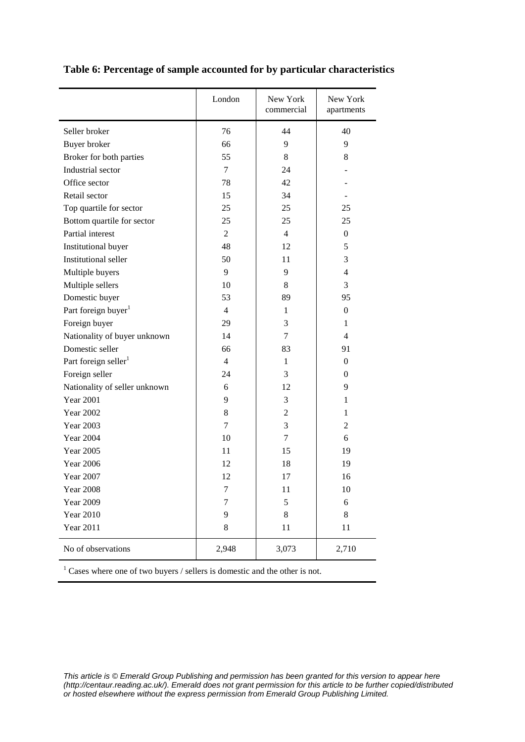#### **Table 6: Percentage of sample accounted for by particular characteristics**

|                                  | London         | New York<br>commercial | New York<br>apartments |
|----------------------------------|----------------|------------------------|------------------------|
| Seller broker                    | 76             | 44                     | 40                     |
| Buyer broker                     | 66             | 9                      | 9                      |
| Broker for both parties          | 55             | 8                      | 8                      |
| Industrial sector                | $\tau$         | 24                     |                        |
| Office sector                    | 78             | 42                     |                        |
| Retail sector                    | 15             | 34                     |                        |
| Top quartile for sector          | 25             | 25                     | 25                     |
| Bottom quartile for sector       | 25             | 25                     | 25                     |
| Partial interest                 | $\overline{2}$ | $\overline{4}$         | $\boldsymbol{0}$       |
| Institutional buyer              | 48             | 12                     | 5                      |
| Institutional seller             | 50             | 11                     | 3                      |
| Multiple buyers                  | 9              | 9                      | $\overline{4}$         |
| Multiple sellers                 | 10             | 8                      | 3                      |
| Domestic buyer                   | 53             | 89                     | 95                     |
| Part foreign buyer <sup>1</sup>  | $\overline{4}$ | 1                      | $\mathbf{0}$           |
| Foreign buyer                    | 29             | 3                      | $\mathbf{1}$           |
| Nationality of buyer unknown     | 14             | 7                      | 4                      |
| Domestic seller                  | 66             | 83                     | 91                     |
| Part foreign seller <sup>1</sup> | $\overline{4}$ | $\mathbf{1}$           | $\theta$               |
| Foreign seller                   | 24             | 3                      | $\theta$               |
| Nationality of seller unknown    | 6              | 12                     | 9                      |
| <b>Year 2001</b>                 | 9              | 3                      | 1                      |
| <b>Year 2002</b>                 | 8              | $\mathfrak{2}$         | 1                      |
| <b>Year 2003</b>                 | 7              | 3                      | 2                      |
| <b>Year 2004</b>                 | 10             | 7                      | 6                      |
| <b>Year 2005</b>                 | 11             | 15                     | 19                     |
| <b>Year 2006</b>                 | 12             | 18                     | 19                     |
| <b>Year 2007</b>                 | 12             | 17                     | 16                     |
| <b>Year 2008</b>                 | 7              | 11                     | 10                     |
| <b>Year 2009</b>                 | 7              | 5                      | 6                      |
| <b>Year 2010</b>                 | 9              | 8                      | 8                      |
| <b>Year 2011</b>                 | $8\,$          | 11                     | 11                     |
| No of observations               | 2,948          | 3,073                  | 2,710                  |

 $1$  Cases where one of two buyers / sellers is domestic and the other is not.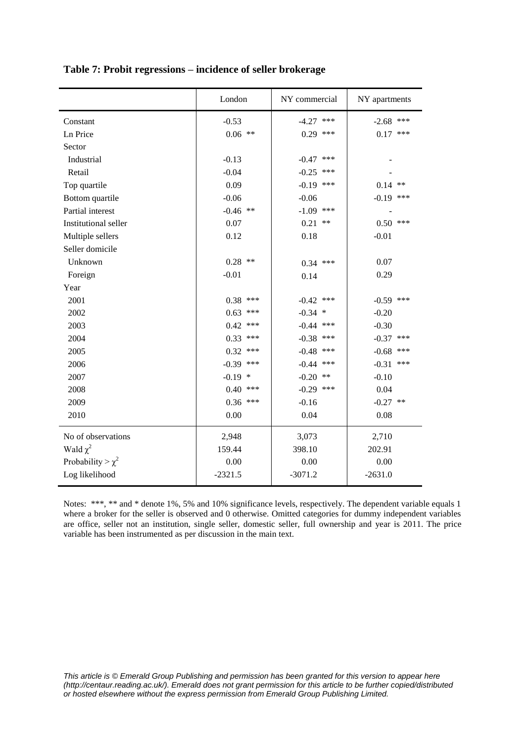|                        | London           | NY commercial     | NY apartments  |
|------------------------|------------------|-------------------|----------------|
| Constant               | $-0.53$          | ***<br>$-4.27$    | $-2.68$ ***    |
| Ln Price               | $0.06$ **        | 0.29<br>***       | $0.17$ ***     |
| Sector                 |                  |                   |                |
| Industrial             | $-0.13$          | ***<br>$-0.47$    |                |
| Retail                 | $-0.04$          | ***<br>$-0.25$    |                |
| Top quartile           | 0.09             | $-0.19$<br>***    | $***$<br>0.14  |
| Bottom quartile        | $-0.06$          | $-0.06$           | $-0.19$ ***    |
| Partial interest       | $-0.46$<br>$***$ | $-1.09$<br>***    |                |
| Institutional seller   | 0.07             | 0.21<br>$***$     | 0.50<br>***    |
| Multiple sellers       | 0.12             | 0.18              | $-0.01$        |
| Seller domicile        |                  |                   |                |
| Unknown                | 0.28<br>$***$    | $0.34$ ***        | 0.07           |
| Foreign                | $-0.01$          | 0.14              | 0.29           |
| Year                   |                  |                   |                |
| 2001                   | $0.38$ ***       | ***<br>$-0.42$    | $-0.59$ ***    |
| 2002                   | 0.63<br>***      | $-0.34$<br>$\ast$ | $-0.20$        |
| 2003                   | 0.42<br>***      | $-0.44$<br>***    | $-0.30$        |
| 2004                   | 0.33<br>***      | $-0.38$<br>***    | $-0.37$<br>*** |
| 2005                   | $0.32$ ***       | $-0.48$<br>***    | $-0.68$<br>*** |
| 2006                   | $-0.39$ ***      | $-0.44$<br>***    | ***<br>$-0.31$ |
| 2007                   | $-0.19$ *        | $-0.20$<br>$***$  | $-0.10$        |
| 2008                   | 0.40<br>***      | $-0.29$<br>***    | 0.04           |
| 2009                   | $0.36$ ***       | $-0.16$           | $-0.27$ **     |
| 2010                   | 0.00             | 0.04              | 0.08           |
| No of observations     | 2,948            | 3,073             | 2,710          |
| Wald $\chi^2$          | 159.44           | 398.10            | 202.91         |
| Probability > $\chi^2$ | 0.00             | 0.00              | 0.00           |
| Log likelihood         | $-2321.5$        | $-3071.2$         | $-2631.0$      |

#### **Table 7: Probit regressions – incidence of seller brokerage**

Notes: \*\*\*, \*\* and \* denote 1%, 5% and 10% significance levels, respectively. The dependent variable equals 1 where a broker for the seller is observed and 0 otherwise. Omitted categories for dummy independent variables are office, seller not an institution, single seller, domestic seller, full ownership and year is 2011. The price variable has been instrumented as per discussion in the main text.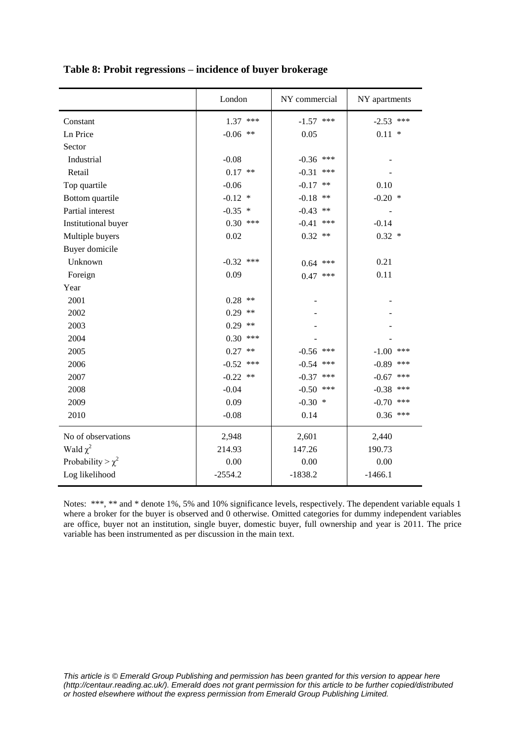|                        | London           | NY commercial    | NY apartments  |
|------------------------|------------------|------------------|----------------|
| Constant               | $1.37$ ***       | $-1.57$ ***      | $-2.53$ ***    |
| Ln Price               | $**$<br>$-0.06$  | 0.05             | $0.11 *$       |
| Sector                 |                  |                  |                |
| Industrial             | $-0.08$          | $-0.36$ ***      |                |
| Retail                 | 0.17<br>$***$    | $-0.31$<br>***   |                |
| Top quartile           | $-0.06$          | $-0.17$<br>$***$ | 0.10           |
| Bottom quartile        | $-0.12$ *        | $-0.18$<br>$***$ | $-0.20$ *      |
| Partial interest       | $-0.35$ *        | $-0.43$<br>$***$ |                |
| Institutional buyer    | $0.30$ ***       | $-0.41$<br>***   | $-0.14$        |
| Multiple buyers        | 0.02             | 0.32<br>$***$    | $0.32$ *       |
| Buyer domicile         |                  |                  |                |
| Unknown                | $-0.32$ ***      | $0.64$ ***       | 0.21           |
| Foreign                | 0.09             | 0.47<br>***      | 0.11           |
| Year                   |                  |                  |                |
| 2001                   | $0.28$ **        |                  |                |
| 2002                   | 0.29<br>$***$    |                  |                |
| 2003                   | 0.29<br>$**$     |                  |                |
| 2004                   | 0.30<br>***      |                  |                |
| 2005                   | $0.27$ **        | $-0.56$<br>***   | $-1.00$<br>*** |
| 2006                   | ***<br>$-0.52$   | $-0.54$<br>***   | ***<br>$-0.89$ |
| 2007                   | $-0.22$<br>$***$ | $-0.37$<br>***   | $-0.67$<br>*** |
| 2008                   | $-0.04$          | $-0.50$<br>***   | $-0.38$<br>*** |
| 2009                   | 0.09             | $-0.30$ *        | ***<br>$-0.70$ |
| 2010                   | $-0.08$          | 0.14             | $0.36$ ***     |
| No of observations     | 2,948            | 2,601            | 2,440          |
| Wald $\chi^2$          | 214.93           | 147.26           | 190.73         |
| Probability > $\chi^2$ | 0.00             | 0.00             | 0.00           |
| Log likelihood         | $-2554.2$        | $-1838.2$        | $-1466.1$      |

#### **Table 8: Probit regressions – incidence of buyer brokerage**

Notes: \*\*\*, \*\* and \* denote 1%, 5% and 10% significance levels, respectively. The dependent variable equals 1 where a broker for the buyer is observed and 0 otherwise. Omitted categories for dummy independent variables are office, buyer not an institution, single buyer, domestic buyer, full ownership and year is 2011. The price variable has been instrumented as per discussion in the main text.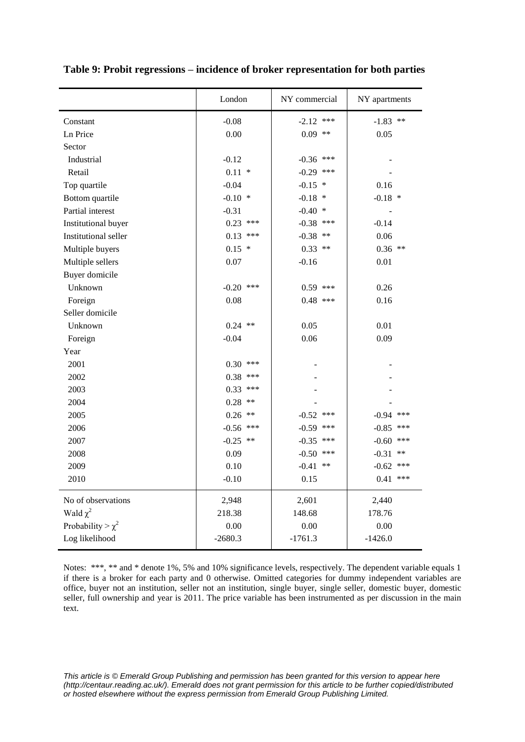|                        | London           | NY commercial    | NY apartments    |
|------------------------|------------------|------------------|------------------|
| Constant               | $-0.08$          | $-2.12$ ***      | $-1.83$ **       |
| Ln Price               | 0.00             | $0.09$ **        | 0.05             |
| Sector                 |                  |                  |                  |
| Industrial             | $-0.12$          | $-0.36$ ***      |                  |
| Retail                 | $0.11 *$         | $-0.29$ ***      |                  |
| Top quartile           | $-0.04$          | $-0.15$ *        | 0.16             |
| Bottom quartile        | $-0.10$ *        | $-0.18$ *        | $-0.18$ *        |
| Partial interest       | $-0.31$          | $-0.40$ *        |                  |
| Institutional buyer    | $0.23$ ***       | $-0.38$<br>***   | $-0.14$          |
| Institutional seller   | $0.13$ ***       | $-0.38$<br>$***$ | 0.06             |
| Multiple buyers        | $0.15$ *         | 0.33<br>$***$    | $0.36$ **        |
| Multiple sellers       | 0.07             | $-0.16$          | 0.01             |
| Buyer domicile         |                  |                  |                  |
| Unknown                | $-0.20$ ***      | $0.59$ ***       | 0.26             |
| Foreign                | 0.08             | $0.48$ ***       | 0.16             |
| Seller domicile        |                  |                  |                  |
| Unknown                | $0.24$ **        | 0.05             | 0.01             |
| Foreign                | $-0.04$          | 0.06             | 0.09             |
| Year                   |                  |                  |                  |
| 2001                   | $0.30$ ***       |                  |                  |
| 2002                   | $0.38$ ***       |                  |                  |
| 2003                   | 0.33<br>***      |                  |                  |
| 2004                   | 0.28<br>$***$    |                  |                  |
| 2005                   | 0.26<br>$***$    | $-0.52$<br>***   | $-0.94$<br>***   |
| 2006                   | $-0.56$<br>***   | $-0.59$<br>***   | $-0.85$<br>***   |
| 2007                   | $-0.25$<br>$***$ | $-0.35$<br>***   | ***<br>$-0.60$   |
| 2008                   | 0.09             | $-0.50$<br>***   | $-0.31$<br>$***$ |
| 2009                   | 0.10             | $-0.41$<br>$***$ | ***<br>$-0.62$   |
| 2010                   | $-0.10$          | 0.15             | 0.41<br>***      |
| No of observations     | 2,948            | 2,601            | 2,440            |
| Wald $\chi^2$          | 218.38           | 148.68           | 178.76           |
| Probability > $\chi^2$ | 0.00             | 0.00             | 0.00             |
| Log likelihood         | $-2680.3$        | $-1761.3$        | $-1426.0$        |

#### **Table 9: Probit regressions – incidence of broker representation for both parties**

Notes: \*\*\*, \*\* and \* denote 1%, 5% and 10% significance levels, respectively. The dependent variable equals 1 if there is a broker for each party and 0 otherwise. Omitted categories for dummy independent variables are office, buyer not an institution, seller not an institution, single buyer, single seller, domestic buyer, domestic seller, full ownership and year is 2011. The price variable has been instrumented as per discussion in the main text.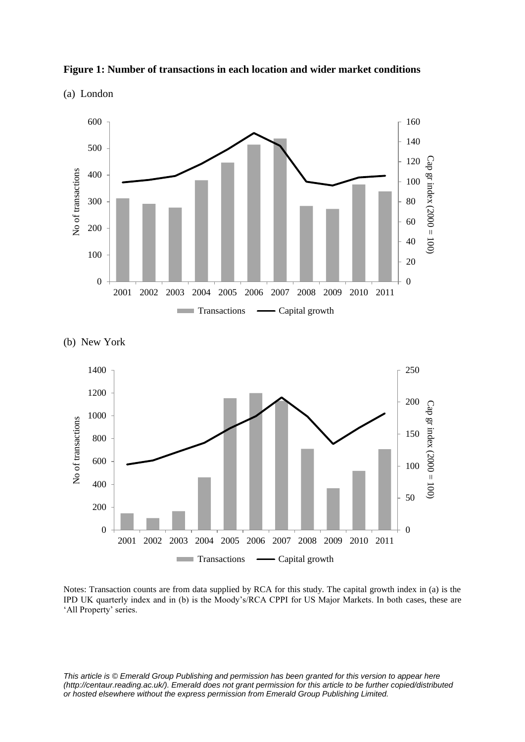

**Figure 1: Number of transactions in each location and wider market conditions**



(a) London



Notes: Transaction counts are from data supplied by RCA for this study. The capital growth index in (a) is the IPD UK quarterly index and in (b) is the Moody's/RCA CPPI for US Major Markets. In both cases, these are 'All Property' series.